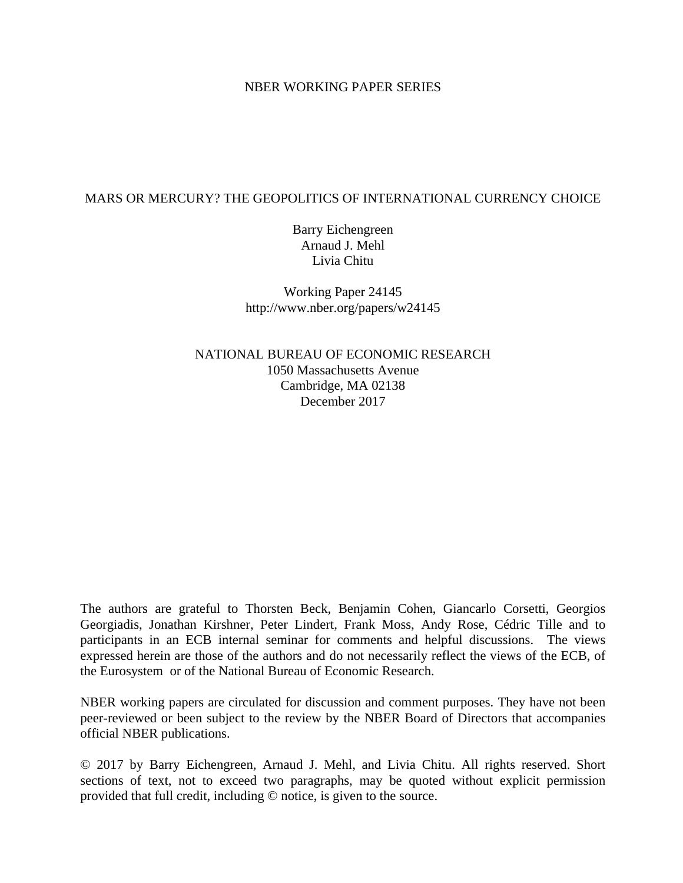## NBER WORKING PAPER SERIES

# MARS OR MERCURY? THE GEOPOLITICS OF INTERNATIONAL CURRENCY CHOICE

Barry Eichengreen Arnaud J. Mehl Livia Chitu

Working Paper 24145 http://www.nber.org/papers/w24145

NATIONAL BUREAU OF ECONOMIC RESEARCH 1050 Massachusetts Avenue Cambridge, MA 02138 December 2017

The authors are grateful to Thorsten Beck, Benjamin Cohen, Giancarlo Corsetti, Georgios Georgiadis, Jonathan Kirshner, Peter Lindert, Frank Moss, Andy Rose, Cédric Tille and to participants in an ECB internal seminar for comments and helpful discussions. The views expressed herein are those of the authors and do not necessarily reflect the views of the ECB, of the Eurosystem or of the National Bureau of Economic Research.

NBER working papers are circulated for discussion and comment purposes. They have not been peer-reviewed or been subject to the review by the NBER Board of Directors that accompanies official NBER publications.

© 2017 by Barry Eichengreen, Arnaud J. Mehl, and Livia Chitu. All rights reserved. Short sections of text, not to exceed two paragraphs, may be quoted without explicit permission provided that full credit, including © notice, is given to the source.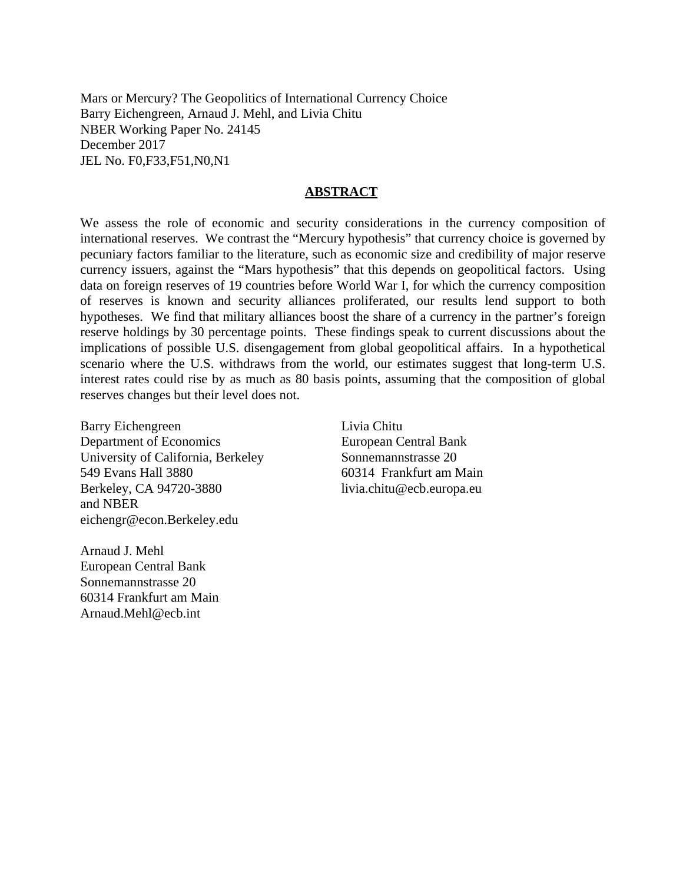Mars or Mercury? The Geopolitics of International Currency Choice Barry Eichengreen, Arnaud J. Mehl, and Livia Chitu NBER Working Paper No. 24145 December 2017 JEL No. F0,F33,F51,N0,N1

### **ABSTRACT**

We assess the role of economic and security considerations in the currency composition of international reserves. We contrast the "Mercury hypothesis" that currency choice is governed by pecuniary factors familiar to the literature, such as economic size and credibility of major reserve currency issuers, against the "Mars hypothesis" that this depends on geopolitical factors. Using data on foreign reserves of 19 countries before World War I, for which the currency composition of reserves is known and security alliances proliferated, our results lend support to both hypotheses. We find that military alliances boost the share of a currency in the partner's foreign reserve holdings by 30 percentage points. These findings speak to current discussions about the implications of possible U.S. disengagement from global geopolitical affairs. In a hypothetical scenario where the U.S. withdraws from the world, our estimates suggest that long-term U.S. interest rates could rise by as much as 80 basis points, assuming that the composition of global reserves changes but their level does not.

Barry Eichengreen Department of Economics University of California, Berkeley 549 Evans Hall 3880 Berkeley, CA 94720-3880 and NBER eichengr@econ.Berkeley.edu

Arnaud J. Mehl European Central Bank Sonnemannstrasse 20 60314 Frankfurt am Main Arnaud.Mehl@ecb.int

Livia Chitu European Central Bank Sonnemannstrasse 20 60314 Frankfurt am Main livia.chitu@ecb.europa.eu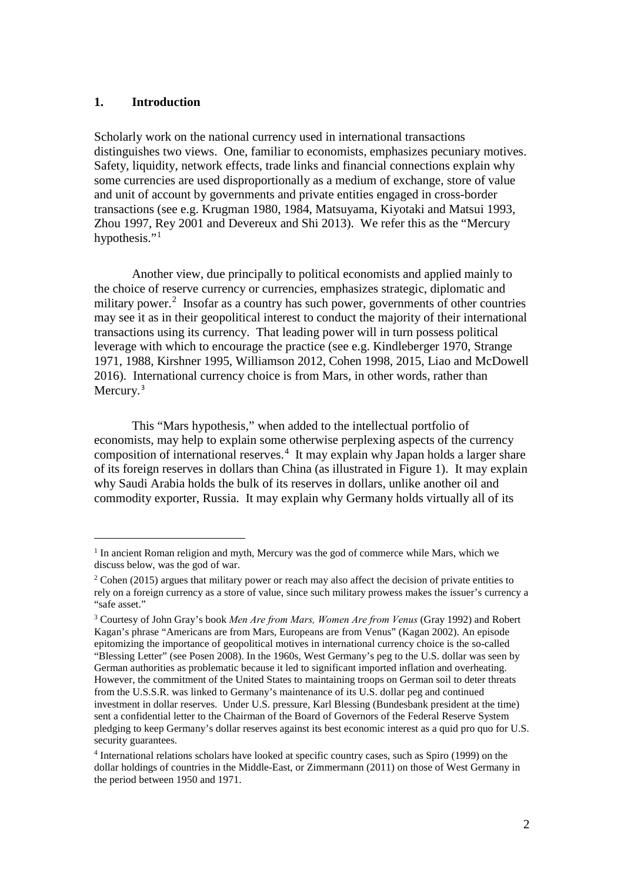# **1. Introduction**

 $\overline{a}$ 

Scholarly work on the national currency used in international transactions distinguishes two views. One, familiar to economists, emphasizes pecuniary motives. Safety, liquidity, network effects, trade links and financial connections explain why some currencies are used disproportionally as a medium of exchange, store of value and unit of account by governments and private entities engaged in cross-border transactions (see e.g. Krugman 1980, 1984, Matsuyama, Kiyotaki and Matsui 1993, Zhou 1997, Rey 2001 and Devereux and Shi 2013). We refer this as the "Mercury hypothesis."<sup>[1](#page-2-0)</sup>

Another view, due principally to political economists and applied mainly to the choice of reserve currency or currencies, emphasizes strategic, diplomatic and military power.<sup>[2](#page-2-1)</sup> Insofar as a country has such power, governments of other countries may see it as in their geopolitical interest to conduct the majority of their international transactions using its currency. That leading power will in turn possess political leverage with which to encourage the practice (see e.g. Kindleberger 1970, Strange 1971, 1988, Kirshner 1995, Williamson 2012, Cohen 1998, 2015, Liao and McDowell 2016). International currency choice is from Mars, in other words, rather than Mercury.<sup>[3](#page-2-2)</sup>

 This "Mars hypothesis," when added to the intellectual portfolio of economists, may help to explain some otherwise perplexing aspects of the currency composition of international reserves.<sup>[4](#page-2-3)</sup> It may explain why Japan holds a larger share of its foreign reserves in dollars than China (as illustrated in Figure 1). It may explain why Saudi Arabia holds the bulk of its reserves in dollars, unlike another oil and commodity exporter, Russia. It may explain why Germany holds virtually all of its

<span id="page-2-0"></span><sup>&</sup>lt;sup>1</sup> In ancient Roman religion and myth, Mercury was the god of commerce while Mars, which we discuss below, was the god of war.

<span id="page-2-1"></span><sup>&</sup>lt;sup>2</sup> Cohen (2015) argues that military power or reach may also affect the decision of private entities to rely on a foreign currency as a store of value, since such military prowess makes the issuer's currency a "safe asset."

<span id="page-2-2"></span><sup>3</sup> Courtesy of John Gray's book *Men Are from Mars, Women Are from Venus* (Gray 1992) and Robert Kagan's phrase "Americans are from Mars, Europeans are from Venus" (Kagan 2002). An episode epitomizing the importance of geopolitical motives in international currency choice is the so-called "Blessing Letter" (see Posen 2008). In the 1960s, West Germany's peg to the U.S. dollar was seen by German authorities as problematic because it led to significant imported inflation and overheating. However, the commitment of the United States to maintaining troops on German soil to deter threats from the U.S.S.R. was linked to Germany's maintenance of its U.S. dollar peg and continued investment in dollar reserves. Under U.S. pressure, Karl Blessing (Bundesbank president at the time) sent a confidential letter to the Chairman of the Board of Governors of the Federal Reserve System pledging to keep Germany's dollar reserves against its best economic interest as a quid pro quo for U.S. security guarantees.

<span id="page-2-3"></span><sup>4</sup> International relations scholars have looked at specific country cases, such as Spiro (1999) on the dollar holdings of countries in the Middle-East, or Zimmermann (2011) on those of West Germany in the period between 1950 and 1971.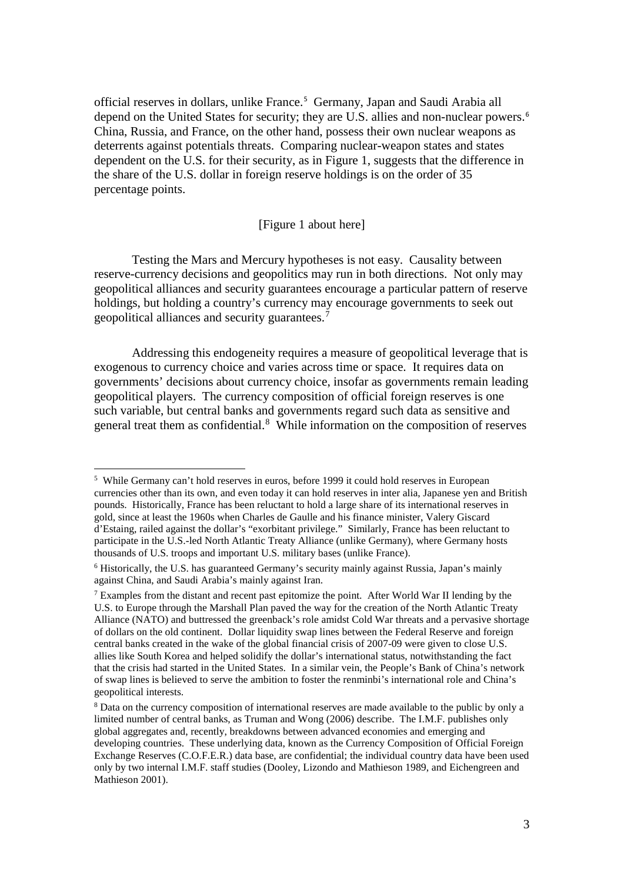official reserves in dollars, unlike France.<sup>[5](#page-3-0)</sup> Germany, Japan and Saudi Arabia all depend on the United States for security; they are U.S. allies and non-nuclear powers.[6](#page-3-1) China, Russia, and France, on the other hand, possess their own nuclear weapons as deterrents against potentials threats. Comparing nuclear-weapon states and states dependent on the U.S. for their security, as in Figure 1, suggests that the difference in the share of the U.S. dollar in foreign reserve holdings is on the order of 35 percentage points.

## [Figure 1 about here]

Testing the Mars and Mercury hypotheses is not easy. Causality between reserve-currency decisions and geopolitics may run in both directions. Not only may geopolitical alliances and security guarantees encourage a particular pattern of reserve holdings, but holding a country's currency may encourage governments to seek out geopolitical alliances and security guarantees.[7](#page-3-2)

Addressing this endogeneity requires a measure of geopolitical leverage that is exogenous to currency choice and varies across time or space. It requires data on governments' decisions about currency choice, insofar as governments remain leading geopolitical players. The currency composition of official foreign reserves is one such variable, but central banks and governments regard such data as sensitive and general treat them as confidential. [8](#page-3-3) While information on the composition of reserves

<span id="page-3-0"></span><sup>&</sup>lt;sup>5</sup> While Germany can't hold reserves in euros, before 1999 it could hold reserves in European currencies other than its own, and even today it can hold reserves in inter alia, Japanese yen and British pounds. Historically, France has been reluctant to hold a large share of its international reserves in gold, since at least the 1960s when Charles de Gaulle and his finance minister, Valery Giscard d'Estaing, railed against the dollar's "exorbitant privilege." Similarly, France has been reluctant to participate in the U.S.-led North Atlantic Treaty Alliance (unlike Germany), where Germany hosts thousands of U.S. troops and important U.S. military bases (unlike France).

<span id="page-3-1"></span><sup>&</sup>lt;sup>6</sup> Historically, the U.S. has guaranteed Germany's security mainly against Russia, Japan's mainly against China, and Saudi Arabia's mainly against Iran.

<span id="page-3-2"></span><sup>7</sup> Examples from the distant and recent past epitomize the point. After World War II lending by the U.S. to Europe through the Marshall Plan paved the way for the creation of the North Atlantic Treaty Alliance (NATO) and buttressed the greenback's role amidst Cold War threats and a pervasive shortage of dollars on the old continent. Dollar liquidity swap lines between the Federal Reserve and foreign central banks created in the wake of the global financial crisis of 2007-09 were given to close U.S. allies like South Korea and helped solidify the dollar's international status, notwithstanding the fact that the crisis had started in the United States. In a similar vein, the People's Bank of China's network of swap lines is believed to serve the ambition to foster the renminbi's international role and China's geopolitical interests.

<span id="page-3-3"></span><sup>&</sup>lt;sup>8</sup> Data on the currency composition of international reserves are made available to the public by only a limited number of central banks, as Truman and Wong (2006) describe. The I.M.F. publishes only global aggregates and, recently, breakdowns between advanced economies and emerging and developing countries. These underlying data, known as the Currency Composition of Official Foreign Exchange Reserves (C.O.F.E.R.) data base, are confidential; the individual country data have been used only by two internal I.M.F. staff studies (Dooley, Lizondo and Mathieson 1989, and Eichengreen and Mathieson 2001).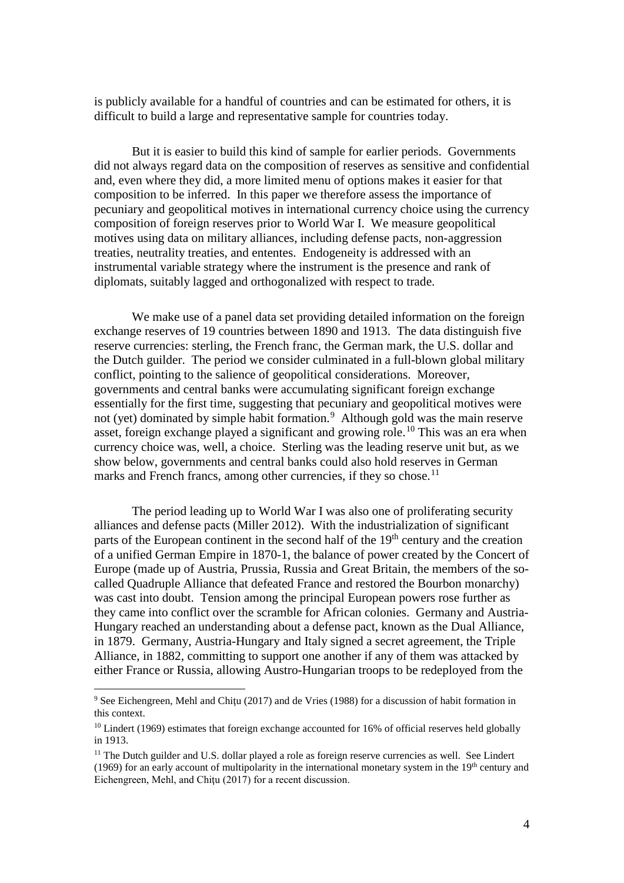is publicly available for a handful of countries and can be estimated for others, it is difficult to build a large and representative sample for countries today.

But it is easier to build this kind of sample for earlier periods. Governments did not always regard data on the composition of reserves as sensitive and confidential and, even where they did, a more limited menu of options makes it easier for that composition to be inferred. In this paper we therefore assess the importance of pecuniary and geopolitical motives in international currency choice using the currency composition of foreign reserves prior to World War I. We measure geopolitical motives using data on military alliances, including defense pacts, non-aggression treaties, neutrality treaties, and ententes. Endogeneity is addressed with an instrumental variable strategy where the instrument is the presence and rank of diplomats, suitably lagged and orthogonalized with respect to trade.

We make use of a panel data set providing detailed information on the foreign exchange reserves of 19 countries between 1890 and 1913. The data distinguish five reserve currencies: sterling, the French franc, the German mark, the U.S. dollar and the Dutch guilder. The period we consider culminated in a full-blown global military conflict, pointing to the salience of geopolitical considerations. Moreover, governments and central banks were accumulating significant foreign exchange essentially for the first time, suggesting that pecuniary and geopolitical motives were not (yet) dominated by simple habit formation. [9](#page-4-0) Although gold was the main reserve asset, foreign exchange played a significant and growing role.[10](#page-4-1) This was an era when currency choice was, well, a choice. Sterling was the leading reserve unit but, as we show below, governments and central banks could also hold reserves in German marks and French francs, among other currencies, if they so chose.<sup>[11](#page-4-2)</sup>

The period leading up to World War I was also one of proliferating security alliances and defense pacts (Miller 2012). With the industrialization of significant parts of the European continent in the second half of the 19<sup>th</sup> century and the creation of a unified German Empire in 1870-1, the balance of power created by the Concert of Europe (made up of Austria, Prussia, Russia and Great Britain, the members of the socalled Quadruple Alliance that defeated France and restored the Bourbon monarchy) was cast into doubt. Tension among the principal European powers rose further as they came into conflict over the scramble for African colonies. Germany and Austria-Hungary reached an understanding about a defense pact, known as the Dual Alliance, in 1879. Germany, Austria-Hungary and Italy signed a secret agreement, the Triple Alliance, in 1882, committing to support one another if any of them was attacked by either France or Russia, allowing Austro-Hungarian troops to be redeployed from the

<span id="page-4-0"></span><sup>&</sup>lt;sup>9</sup> See Eichengreen, Mehl and Chitu (2017) and de Vries (1988) for a discussion of habit formation in this context.

<span id="page-4-1"></span><sup>&</sup>lt;sup>10</sup> Lindert (1969) estimates that foreign exchange accounted for 16% of official reserves held globally in 1913.

<span id="page-4-2"></span><sup>&</sup>lt;sup>11</sup> The Dutch guilder and U.S. dollar played a role as foreign reserve currencies as well. See Lindert (1969) for an early account of multipolarity in the international monetary system in the  $19<sup>th</sup>$  century and Eichengreen, Mehl, and Chiţu (2017) for a recent discussion.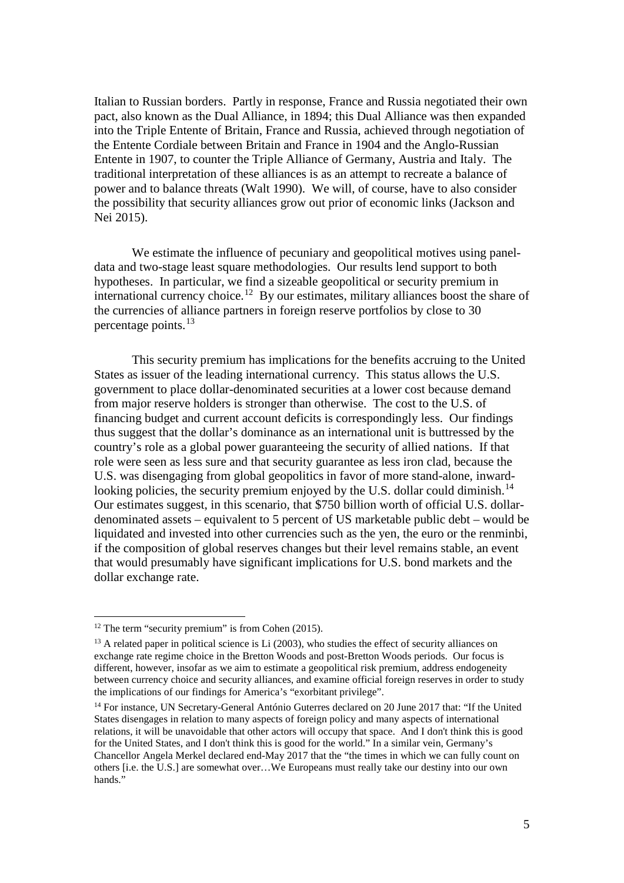Italian to Russian borders. Partly in response, France and Russia negotiated their own pact, also known as the Dual Alliance, in 1894; this Dual Alliance was then expanded into the Triple Entente of Britain, France and Russia, achieved through negotiation of the Entente Cordiale between Britain and France in 1904 and the Anglo-Russian Entente in 1907, to counter the Triple Alliance of Germany, Austria and Italy. The traditional interpretation of these alliances is as an attempt to recreate a balance of power and to balance threats (Walt 1990). We will, of course, have to also consider the possibility that security alliances grow out prior of economic links (Jackson and Nei 2015).

We estimate the influence of pecuniary and geopolitical motives using paneldata and two-stage least square methodologies. Our results lend support to both hypotheses. In particular, we find a sizeable geopolitical or security premium in international currency choice.<sup>12</sup> By our estimates, military alliances boost the share of the currencies of alliance partners in foreign reserve portfolios by close to 30 percentage points.[13](#page-5-1)

This security premium has implications for the benefits accruing to the United States as issuer of the leading international currency. This status allows the U.S. government to place dollar-denominated securities at a lower cost because demand from major reserve holders is stronger than otherwise. The cost to the U.S. of financing budget and current account deficits is correspondingly less. Our findings thus suggest that the dollar's dominance as an international unit is buttressed by the country's role as a global power guaranteeing the security of allied nations. If that role were seen as less sure and that security guarantee as less iron clad, because the U.S. was disengaging from global geopolitics in favor of more stand-alone, inward-looking policies, the security premium enjoyed by the U.S. dollar could diminish.<sup>[14](#page-5-2)</sup> Our estimates suggest, in this scenario, that \$750 billion worth of official U.S. dollardenominated assets – equivalent to 5 percent of US marketable public debt – would be liquidated and invested into other currencies such as the yen, the euro or the renminbi, if the composition of global reserves changes but their level remains stable, an event that would presumably have significant implications for U.S. bond markets and the dollar exchange rate.

<span id="page-5-0"></span> $12$  The term "security premium" is from Cohen (2015).

<span id="page-5-1"></span> $13$  A related paper in political science is Li (2003), who studies the effect of security alliances on exchange rate regime choice in the Bretton Woods and post-Bretton Woods periods. Our focus is different, however, insofar as we aim to estimate a geopolitical risk premium, address endogeneity between currency choice and security alliances, and examine official foreign reserves in order to study the implications of our findings for America's "exorbitant privilege".

<span id="page-5-2"></span><sup>&</sup>lt;sup>14</sup> For instance, UN Secretary-General António Guterres declared on 20 June 2017 that: "If the United States disengages in relation to many aspects of foreign policy and many aspects of international relations, it will be unavoidable that other actors will occupy that space. And I don't think this is good for the United States, and I don't think this is good for the world." In a similar vein, Germany's Chancellor Angela Merkel declared end-May 2017 that the "the times in which we can fully count on others [i.e. the U.S.] are somewhat over…We Europeans must really take our destiny into our own hands.'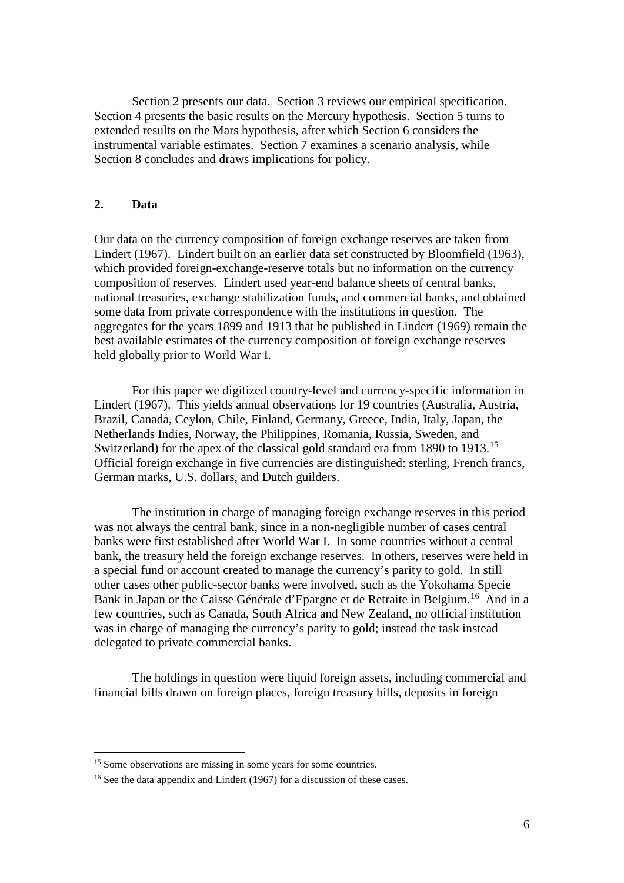Section 2 presents our data. Section 3 reviews our empirical specification. Section 4 presents the basic results on the Mercury hypothesis. Section 5 turns to extended results on the Mars hypothesis, after which Section 6 considers the instrumental variable estimates. Section 7 examines a scenario analysis, while Section 8 concludes and draws implications for policy.

# **2. Data**

 $\overline{a}$ 

Our data on the currency composition of foreign exchange reserves are taken from Lindert (1967). Lindert built on an earlier data set constructed by Bloomfield (1963), which provided foreign-exchange-reserve totals but no information on the currency composition of reserves. Lindert used year-end balance sheets of central banks, national treasuries, exchange stabilization funds, and commercial banks, and obtained some data from private correspondence with the institutions in question. The aggregates for the years 1899 and 1913 that he published in Lindert (1969) remain the best available estimates of the currency composition of foreign exchange reserves held globally prior to World War I.

For this paper we digitized country-level and currency-specific information in Lindert (1967). This yields annual observations for 19 countries (Australia, Austria, Brazil, Canada, Ceylon, Chile, Finland, Germany, Greece, India, Italy, Japan, the Netherlands Indies, Norway, the Philippines, Romania, Russia, Sweden, and Switzerland) for the apex of the classical gold standard era from 1890 to 1913.<sup>15</sup> Official foreign exchange in five currencies are distinguished: sterling, French francs, German marks, U.S. dollars, and Dutch guilders.

 The institution in charge of managing foreign exchange reserves in this period was not always the central bank, since in a non-negligible number of cases central banks were first established after World War I. In some countries without a central bank, the treasury held the foreign exchange reserves. In others, reserves were held in a special fund or account created to manage the currency's parity to gold. In still other cases other public-sector banks were involved, such as the Yokohama Specie Bank in Japan or the Caisse Générale d'Epargne et de Retraite in Belgium.<sup>[16](#page-6-1)</sup> And in a few countries, such as Canada, South Africa and New Zealand, no official institution was in charge of managing the currency's parity to gold; instead the task instead delegated to private commercial banks.

The holdings in question were liquid foreign assets, including commercial and financial bills drawn on foreign places, foreign treasury bills, deposits in foreign

<span id="page-6-0"></span><sup>&</sup>lt;sup>15</sup> Some observations are missing in some years for some countries.

<span id="page-6-1"></span><sup>&</sup>lt;sup>16</sup> See the data appendix and Lindert (1967) for a discussion of these cases.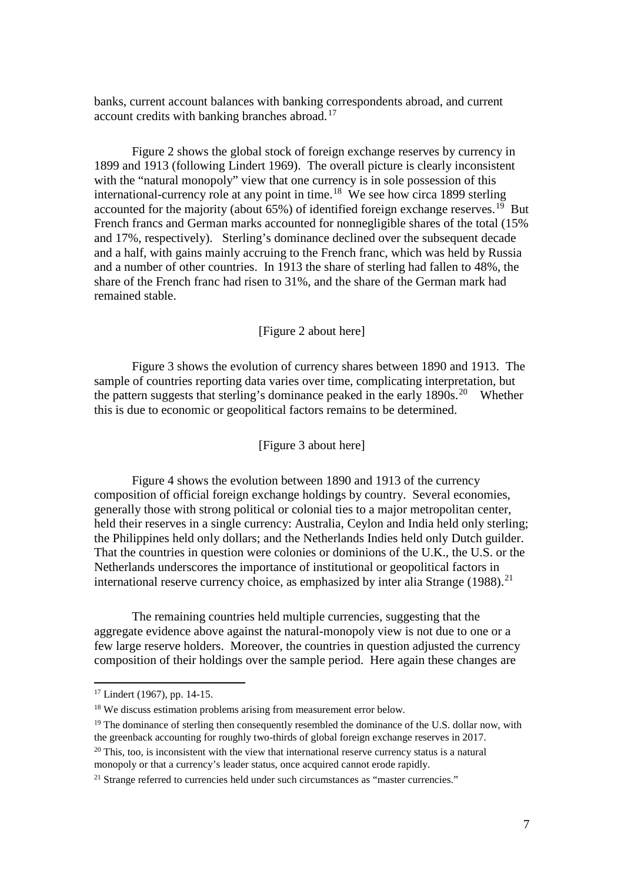banks, current account balances with banking correspondents abroad, and current account credits with banking branches abroad.<sup>[17](#page-7-0)</sup>

Figure 2 shows the global stock of foreign exchange reserves by currency in 1899 and 1913 (following Lindert 1969). The overall picture is clearly inconsistent with the "natural monopoly" view that one currency is in sole possession of this international-currency role at any point in time. [18](#page-7-1) We see how circa 1899 sterling accounted for the majority (about  $65\%$ ) of identified foreign exchange reserves.<sup>[19](#page-7-2)</sup> But French francs and German marks accounted for nonnegligible shares of the total (15% and 17%, respectively). Sterling's dominance declined over the subsequent decade and a half, with gains mainly accruing to the French franc, which was held by Russia and a number of other countries. In 1913 the share of sterling had fallen to 48%, the share of the French franc had risen to 31%, and the share of the German mark had remained stable.

## [Figure 2 about here]

Figure 3 shows the evolution of currency shares between 1890 and 1913. The sample of countries reporting data varies over time, complicating interpretation, but the pattern suggests that sterling's dominance peaked in the early  $1890s$ <sup>[20](#page-7-3)</sup> Whether this is due to economic or geopolitical factors remains to be determined.

## [Figure 3 about here]

Figure 4 shows the evolution between 1890 and 1913 of the currency composition of official foreign exchange holdings by country. Several economies, generally those with strong political or colonial ties to a major metropolitan center, held their reserves in a single currency: Australia, Ceylon and India held only sterling; the Philippines held only dollars; and the Netherlands Indies held only Dutch guilder. That the countries in question were colonies or dominions of the U.K., the U.S. or the Netherlands underscores the importance of institutional or geopolitical factors in international reserve currency choice, as emphasized by inter alia Strange  $(1988)$ <sup>21</sup>

The remaining countries held multiple currencies, suggesting that the aggregate evidence above against the natural-monopoly view is not due to one or a few large reserve holders. Moreover, the countries in question adjusted the currency composition of their holdings over the sample period. Here again these changes are

<span id="page-7-0"></span><sup>17</sup> Lindert (1967), pp. 14-15.

<span id="page-7-1"></span><sup>&</sup>lt;sup>18</sup> We discuss estimation problems arising from measurement error below.

<span id="page-7-2"></span><sup>&</sup>lt;sup>19</sup> The dominance of sterling then consequently resembled the dominance of the U.S. dollar now, with the greenback accounting for roughly two-thirds of global foreign exchange reserves in 2017.  $20$  This, too, is inconsistent with the view that international reserve currency status is a natural

<span id="page-7-3"></span>monopoly or that a currency's leader status, once acquired cannot erode rapidly.

<span id="page-7-4"></span><sup>&</sup>lt;sup>21</sup> Strange referred to currencies held under such circumstances as "master currencies."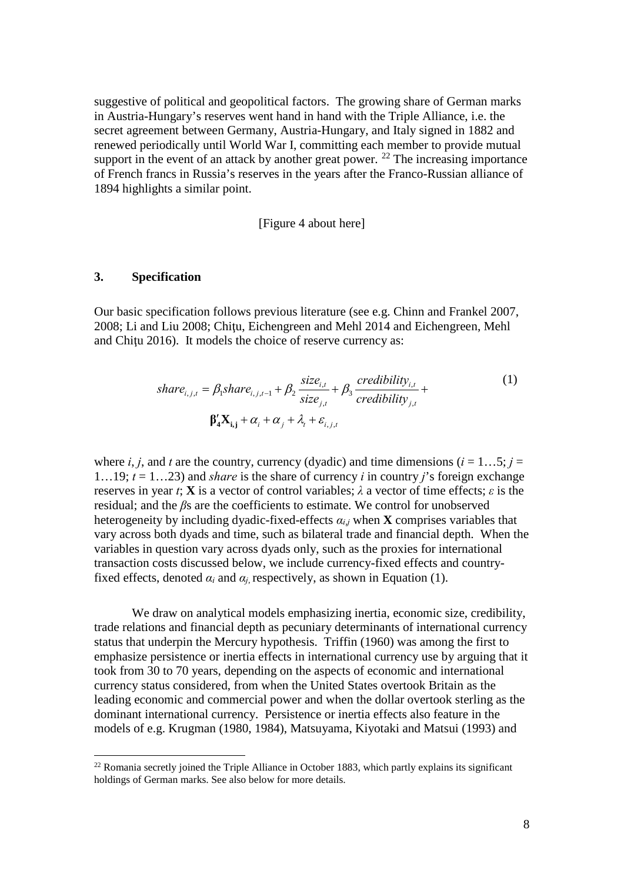suggestive of political and geopolitical factors. The growing share of German marks in Austria-Hungary's reserves went hand in hand with the Triple Alliance, i.e. the secret agreement between Germany, Austria-Hungary, and Italy signed in 1882 and renewed periodically until World War I, committing each member to provide mutual support in the event of an attack by another great power.  $^{22}$  $^{22}$  $^{22}$  The increasing importance of French francs in Russia's reserves in the years after the Franco-Russian alliance of 1894 highlights a similar point.

[Figure 4 about here]

### **3. Specification**

 $\overline{a}$ 

Our basic specification follows previous literature (see e.g. Chinn and Frankel 2007, 2008; Li and Liu 2008; Chiţu, Eichengreen and Mehl 2014 and Eichengreen, Mehl and Chitu 2016). It models the choice of reserve currency as:

$$
share_{i,j,t} = \beta_1 share_{i,j,t-1} + \beta_2 \frac{size_{i,t}}{size_{j,t}} + \beta_3 \frac{creditility_{i,t}}{creditility_{j,t}} + \beta_4 \frac{X_{i,j,t} + \alpha_j + \lambda_t + \varepsilon_{i,j,t}}{readibility_{j,t}}
$$
\n
$$
(1)
$$

where *i*, *j*, and *t* are the country, currency (dyadic) and time dimensions ( $i = 1...5$ ;  $j =$ 1…19; *t* = 1…23) and *share* is the share of currency *i* in country *j*'s foreign exchange reserves in year *t*; **X** is a vector of control variables; *λ* a vector of time effects; *ε* is the residual; and the *β*s are the coefficients to estimate. We control for unobserved heterogeneity by including dyadic-fixed-effects *αi*,*j* when **X** comprises variables that vary across both dyads and time, such as bilateral trade and financial depth. When the variables in question vary across dyads only, such as the proxies for international transaction costs discussed below, we include currency-fixed effects and countryfixed effects, denoted  $\alpha_i$  and  $\alpha_j$  respectively, as shown in Equation (1).

We draw on analytical models emphasizing inertia, economic size, credibility, trade relations and financial depth as pecuniary determinants of international currency status that underpin the Mercury hypothesis. Triffin (1960) was among the first to emphasize persistence or inertia effects in international currency use by arguing that it took from 30 to 70 years, depending on the aspects of economic and international currency status considered, from when the United States overtook Britain as the leading economic and commercial power and when the dollar overtook sterling as the dominant international currency. Persistence or inertia effects also feature in the models of e.g. Krugman (1980, 1984), Matsuyama, Kiyotaki and Matsui (1993) and

<span id="page-8-0"></span> $22$  Romania secretly joined the Triple Alliance in October 1883, which partly explains its significant holdings of German marks. See also below for more details.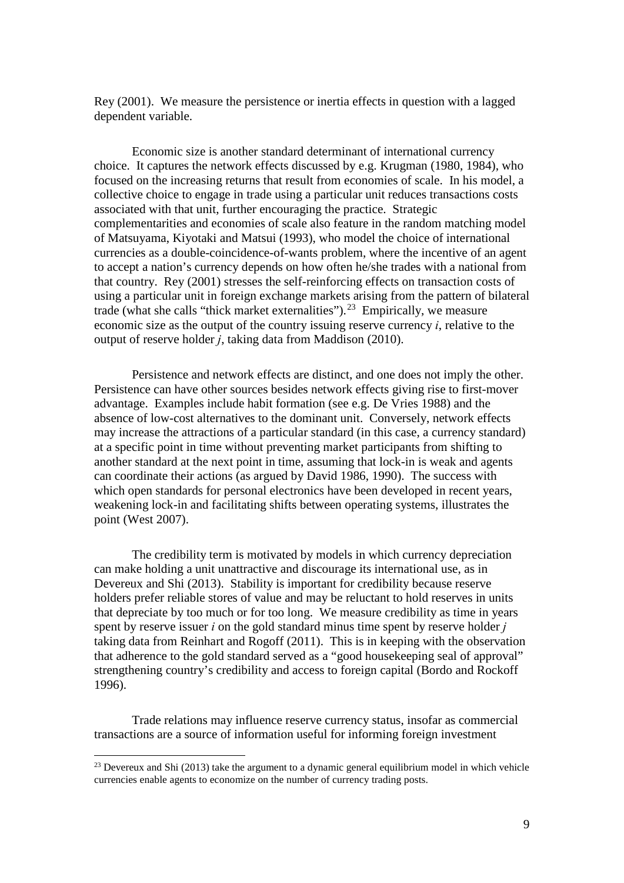Rey (2001). We measure the persistence or inertia effects in question with a lagged dependent variable.

Economic size is another standard determinant of international currency choice. It captures the network effects discussed by e.g. Krugman (1980, 1984), who focused on the increasing returns that result from economies of scale. In his model, a collective choice to engage in trade using a particular unit reduces transactions costs associated with that unit, further encouraging the practice. Strategic complementarities and economies of scale also feature in the random matching model of Matsuyama, Kiyotaki and Matsui (1993), who model the choice of international currencies as a double-coincidence-of-wants problem, where the incentive of an agent to accept a nation's currency depends on how often he/she trades with a national from that country. Rey (2001) stresses the self-reinforcing effects on transaction costs of using a particular unit in foreign exchange markets arising from the pattern of bilateral trade (what she calls "thick market externalities").<sup>[23](#page-9-0)</sup> Empirically, we measure economic size as the output of the country issuing reserve currency *i*, relative to the output of reserve holder *j*, taking data from Maddison (2010).

Persistence and network effects are distinct, and one does not imply the other. Persistence can have other sources besides network effects giving rise to first-mover advantage. Examples include habit formation (see e.g. De Vries 1988) and the absence of low-cost alternatives to the dominant unit. Conversely, network effects may increase the attractions of a particular standard (in this case, a currency standard) at a specific point in time without preventing market participants from shifting to another standard at the next point in time, assuming that lock-in is weak and agents can coordinate their actions (as argued by David 1986, 1990). The success with which open standards for personal electronics have been developed in recent years, weakening lock-in and facilitating shifts between operating systems, illustrates the point (West 2007).

The credibility term is motivated by models in which currency depreciation can make holding a unit unattractive and discourage its international use, as in Devereux and Shi (2013). Stability is important for credibility because reserve holders prefer reliable stores of value and may be reluctant to hold reserves in units that depreciate by too much or for too long. We measure credibility as time in years spent by reserve issuer *i* on the gold standard minus time spent by reserve holder *j* taking data from Reinhart and Rogoff (2011). This is in keeping with the observation that adherence to the gold standard served as a "good housekeeping seal of approval" strengthening country's credibility and access to foreign capital (Bordo and Rockoff 1996).

Trade relations may influence reserve currency status, insofar as commercial transactions are a source of information useful for informing foreign investment

<span id="page-9-0"></span> $^{23}$  Devereux and Shi (2013) take the argument to a dynamic general equilibrium model in which vehicle currencies enable agents to economize on the number of currency trading posts.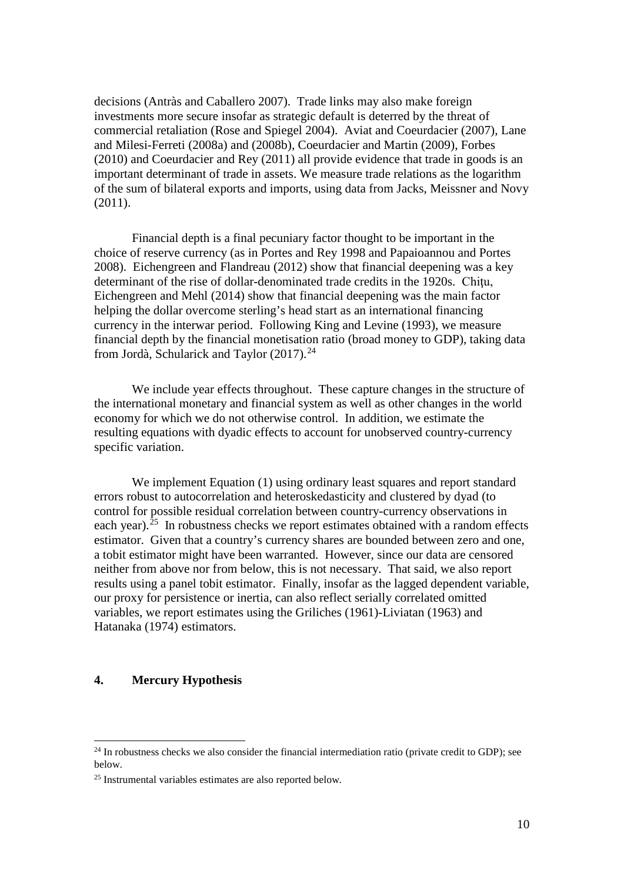decisions (Antràs and Caballero 2007). Trade links may also make foreign investments more secure insofar as strategic default is deterred by the threat of commercial retaliation (Rose and Spiegel 2004). Aviat and Coeurdacier (2007), Lane and Milesi-Ferreti (2008a) and (2008b), Coeurdacier and Martin (2009), Forbes (2010) and Coeurdacier and Rey (2011) all provide evidence that trade in goods is an important determinant of trade in assets. We measure trade relations as the logarithm of the sum of bilateral exports and imports, using data from Jacks, Meissner and Novy (2011).

Financial depth is a final pecuniary factor thought to be important in the choice of reserve currency (as in Portes and Rey 1998 and Papaioannou and Portes 2008). Eichengreen and Flandreau (2012) show that financial deepening was a key determinant of the rise of dollar-denominated trade credits in the 1920s. Chitu, Eichengreen and Mehl (2014) show that financial deepening was the main factor helping the dollar overcome sterling's head start as an international financing currency in the interwar period. Following King and Levine (1993), we measure financial depth by the financial monetisation ratio (broad money to GDP), taking data from Jordà, Schularick and Taylor (2017).<sup>[24](#page-10-0)</sup>

We include year effects throughout. These capture changes in the structure of the international monetary and financial system as well as other changes in the world economy for which we do not otherwise control. In addition, we estimate the resulting equations with dyadic effects to account for unobserved country-currency specific variation.

We implement Equation (1) using ordinary least squares and report standard errors robust to autocorrelation and heteroskedasticity and clustered by dyad (to control for possible residual correlation between country-currency observations in each year).<sup>[25](#page-10-1)</sup> In robustness checks we report estimates obtained with a random effects estimator. Given that a country's currency shares are bounded between zero and one, a tobit estimator might have been warranted. However, since our data are censored neither from above nor from below, this is not necessary. That said, we also report results using a panel tobit estimator. Finally, insofar as the lagged dependent variable, our proxy for persistence or inertia, can also reflect serially correlated omitted variables, we report estimates using the Griliches (1961)-Liviatan (1963) and Hatanaka (1974) estimators.

## **4. Mercury Hypothesis**

<span id="page-10-0"></span> $^{24}$  In robustness checks we also consider the financial intermediation ratio (private credit to GDP); see below.

<span id="page-10-1"></span><sup>25</sup> Instrumental variables estimates are also reported below.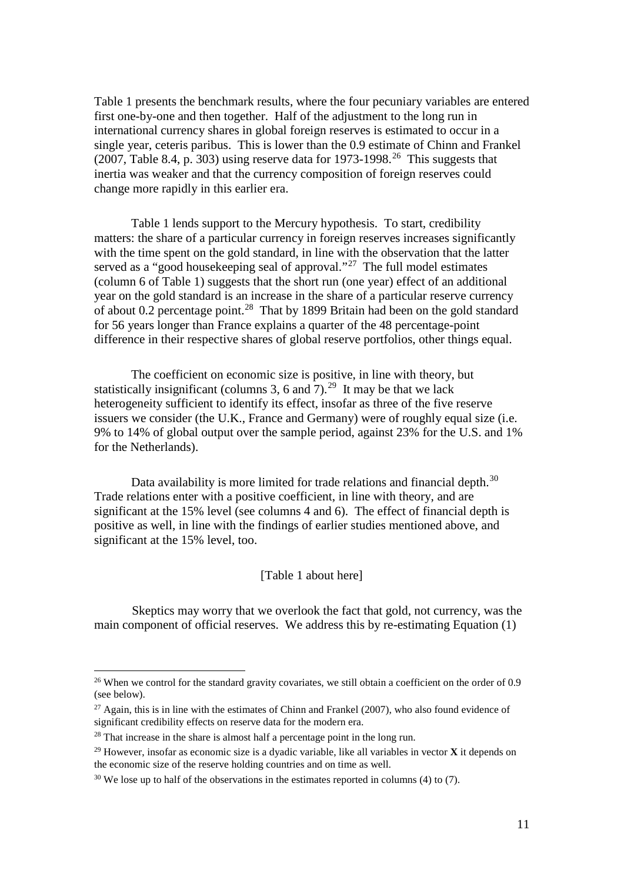Table 1 presents the benchmark results, where the four pecuniary variables are entered first one-by-one and then together. Half of the adjustment to the long run in international currency shares in global foreign reserves is estimated to occur in a single year, ceteris paribus. This is lower than the 0.9 estimate of Chinn and Frankel (2007, Table 8.4, p. 303) using reserve data for  $1973$ -1998.<sup>26</sup> This suggests that inertia was weaker and that the currency composition of foreign reserves could change more rapidly in this earlier era.

Table 1 lends support to the Mercury hypothesis. To start, credibility matters: the share of a particular currency in foreign reserves increases significantly with the time spent on the gold standard, in line with the observation that the latter served as a "good house keeping seal of approval."<sup>[27](#page-11-1)</sup> The full model estimates (column 6 of Table 1) suggests that the short run (one year) effect of an additional year on the gold standard is an increase in the share of a particular reserve currency of about 0.2 percentage point.[28](#page-11-2) That by 1899 Britain had been on the gold standard for 56 years longer than France explains a quarter of the 48 percentage-point difference in their respective shares of global reserve portfolios, other things equal.

The coefficient on economic size is positive, in line with theory, but statistically insignificant (columns 3, 6 and 7).<sup>[29](#page-11-3)</sup> It may be that we lack heterogeneity sufficient to identify its effect, insofar as three of the five reserve issuers we consider (the U.K., France and Germany) were of roughly equal size (i.e. 9% to 14% of global output over the sample period, against 23% for the U.S. and 1% for the Netherlands).

Data availability is more limited for trade relations and financial depth.<sup>30</sup> Trade relations enter with a positive coefficient, in line with theory, and are significant at the 15% level (see columns 4 and 6). The effect of financial depth is positive as well, in line with the findings of earlier studies mentioned above, and significant at the 15% level, too.

### [Table 1 about here]

Skeptics may worry that we overlook the fact that gold, not currency, was the main component of official reserves. We address this by re-estimating Equation (1)

<span id="page-11-0"></span><sup>&</sup>lt;sup>26</sup> When we control for the standard gravity covariates, we still obtain a coefficient on the order of 0.9 (see below).

<span id="page-11-1"></span><sup>&</sup>lt;sup>27</sup> Again, this is in line with the estimates of Chinn and Frankel (2007), who also found evidence of significant credibility effects on reserve data for the modern era.

<span id="page-11-2"></span><sup>&</sup>lt;sup>28</sup> That increase in the share is almost half a percentage point in the long run.

<span id="page-11-3"></span><sup>29</sup> However, insofar as economic size is a dyadic variable, like all variables in vector **X** it depends on the economic size of the reserve holding countries and on time as well.

<span id="page-11-4"></span> $30$  We lose up to half of the observations in the estimates reported in columns (4) to (7).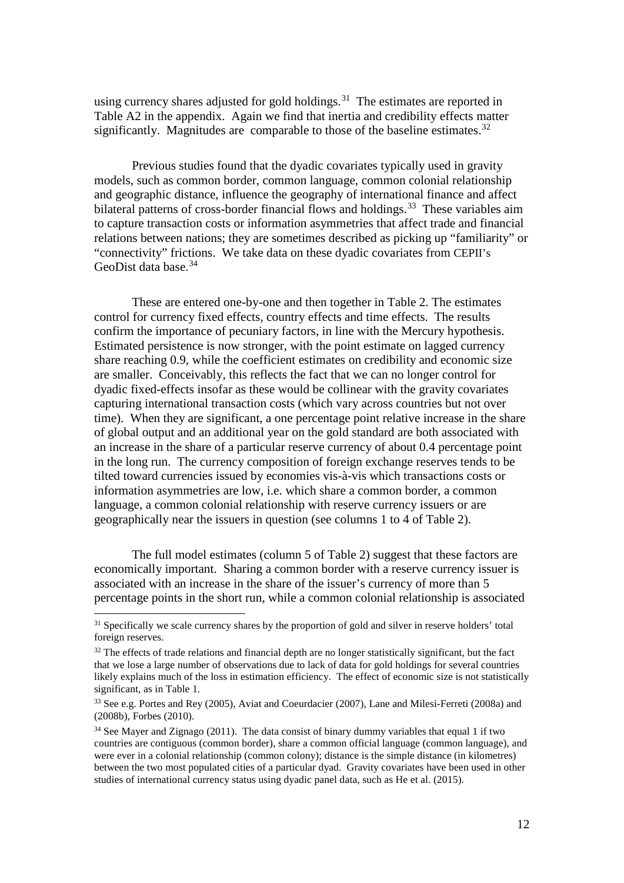using currency shares adjusted for gold holdings.<sup>[31](#page-12-0)</sup> The estimates are reported in Table A2 in the appendix. Again we find that inertia and credibility effects matter significantly. Magnitudes are comparable to those of the baseline estimates.<sup>[32](#page-12-1)</sup>

Previous studies found that the dyadic covariates typically used in gravity models, such as common border, common language, common colonial relationship and geographic distance, influence the geography of international finance and affect bilateral patterns of cross-border financial flows and holdings.<sup>[33](#page-12-2)</sup> These variables aim to capture transaction costs or information asymmetries that affect trade and financial relations between nations; they are sometimes described as picking up "familiarity" or "connectivity" frictions. We take data on these dyadic covariates from CEPII's GeoDist data base. [34](#page-12-3)

These are entered one-by-one and then together in Table 2. The estimates control for currency fixed effects, country effects and time effects. The results confirm the importance of pecuniary factors, in line with the Mercury hypothesis. Estimated persistence is now stronger, with the point estimate on lagged currency share reaching 0.9, while the coefficient estimates on credibility and economic size are smaller. Conceivably, this reflects the fact that we can no longer control for dyadic fixed-effects insofar as these would be collinear with the gravity covariates capturing international transaction costs (which vary across countries but not over time). When they are significant, a one percentage point relative increase in the share of global output and an additional year on the gold standard are both associated with an increase in the share of a particular reserve currency of about 0.4 percentage point in the long run. The currency composition of foreign exchange reserves tends to be tilted toward currencies issued by economies vis-à-vis which transactions costs or information asymmetries are low, i.e. which share a common border, a common language, a common colonial relationship with reserve currency issuers or are geographically near the issuers in question (see columns 1 to 4 of Table 2).

The full model estimates (column 5 of Table 2) suggest that these factors are economically important. Sharing a common border with a reserve currency issuer is associated with an increase in the share of the issuer's currency of more than 5 percentage points in the short run, while a common colonial relationship is associated

<span id="page-12-0"></span><sup>&</sup>lt;sup>31</sup> Specifically we scale currency shares by the proportion of gold and silver in reserve holders' total foreign reserves.

<span id="page-12-1"></span> $32$  The effects of trade relations and financial depth are no longer statistically significant, but the fact that we lose a large number of observations due to lack of data for gold holdings for several countries likely explains much of the loss in estimation efficiency. The effect of economic size is not statistically significant, as in Table 1.

<span id="page-12-2"></span><sup>33</sup> See e.g. Portes and Rey (2005), Aviat and Coeurdacier (2007), Lane and Milesi-Ferreti (2008a) and (2008b), Forbes (2010).

<span id="page-12-3"></span><sup>&</sup>lt;sup>34</sup> See Mayer and Zignago (2011). The data consist of binary dummy variables that equal 1 if two countries are contiguous (common border), share a common official language (common language), and were ever in a colonial relationship (common colony); distance is the simple distance (in kilometres) between the two most populated cities of a particular dyad. Gravity covariates have been used in other studies of international currency status using dyadic panel data, such as He et al. (2015).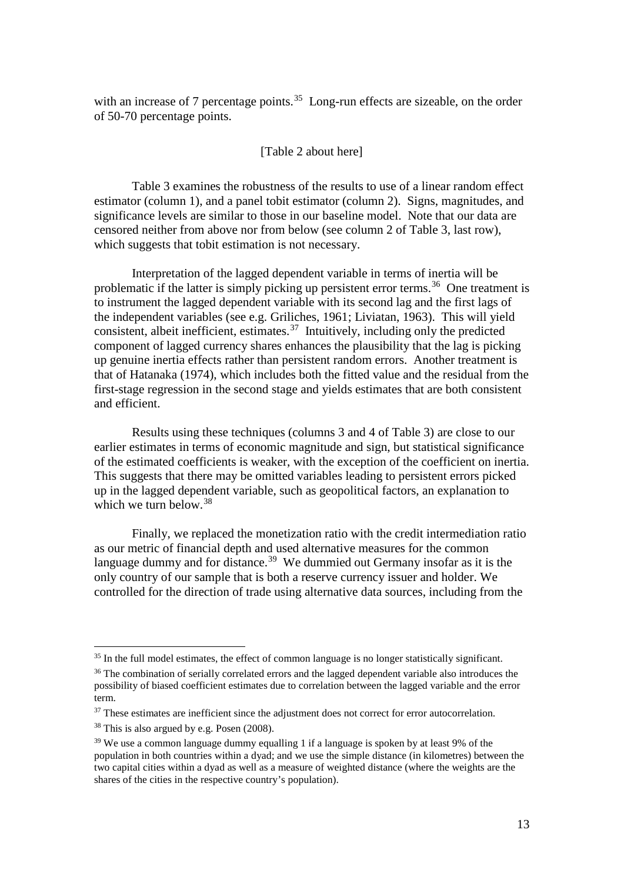with an increase of 7 percentage points.<sup>35</sup> Long-run effects are sizeable, on the order of 50-70 percentage points.

## [Table 2 about here]

Table 3 examines the robustness of the results to use of a linear random effect estimator (column 1), and a panel tobit estimator (column 2). Signs, magnitudes, and significance levels are similar to those in our baseline model. Note that our data are censored neither from above nor from below (see column 2 of Table 3, last row), which suggests that to bit estimation is not necessary.

Interpretation of the lagged dependent variable in terms of inertia will be problematic if the latter is simply picking up persistent error terms.[36](#page-13-1) One treatment is to instrument the lagged dependent variable with its second lag and the first lags of the independent variables (see e.g. Griliches, 1961; Liviatan, 1963). This will yield consistent, albeit inefficient, estimates. $37$  Intuitively, including only the predicted component of lagged currency shares enhances the plausibility that the lag is picking up genuine inertia effects rather than persistent random errors. Another treatment is that of Hatanaka (1974), which includes both the fitted value and the residual from the first-stage regression in the second stage and yields estimates that are both consistent and efficient.

Results using these techniques (columns 3 and 4 of Table 3) are close to our earlier estimates in terms of economic magnitude and sign, but statistical significance of the estimated coefficients is weaker, with the exception of the coefficient on inertia. This suggests that there may be omitted variables leading to persistent errors picked up in the lagged dependent variable, such as geopolitical factors, an explanation to which we turn below.<sup>[38](#page-13-3)</sup>

Finally, we replaced the monetization ratio with the credit intermediation ratio as our metric of financial depth and used alternative measures for the common language dummy and for distance.<sup>[39](#page-13-4)</sup> We dummied out Germany insofar as it is the only country of our sample that is both a reserve currency issuer and holder. We controlled for the direction of trade using alternative data sources, including from the

<span id="page-13-0"></span><sup>&</sup>lt;sup>35</sup> In the full model estimates, the effect of common language is no longer statistically significant.

<span id="page-13-1"></span><sup>&</sup>lt;sup>36</sup> The combination of serially correlated errors and the lagged dependent variable also introduces the possibility of biased coefficient estimates due to correlation between the lagged variable and the error term.

<span id="page-13-2"></span><sup>&</sup>lt;sup>37</sup> These estimates are inefficient since the adjustment does not correct for error autocorrelation.

<span id="page-13-3"></span><sup>38</sup> This is also argued by e.g. Posen (2008).

<span id="page-13-4"></span><sup>&</sup>lt;sup>39</sup> We use a common language dummy equalling 1 if a language is spoken by at least 9% of the population in both countries within a dyad; and we use the simple distance (in kilometres) between the two capital cities within a dyad as well as a measure of weighted distance (where the weights are the shares of the cities in the respective country's population).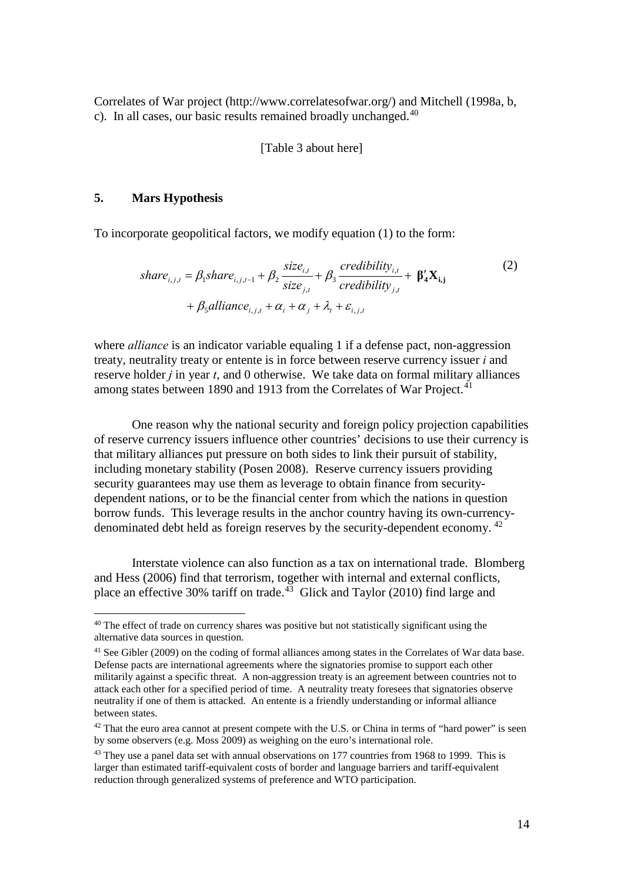Correlates of War project (http://www.correlatesofwar.org/) and Mitchell (1998a, b, c). In all cases, our basic results remained broadly unchanged.<sup>[40](#page-14-0)</sup>

## [Table 3 about here]

## **5. Mars Hypothesis**

 $\overline{a}$ 

To incorporate geopolitical factors, we modify equation (1) to the form:

$$
share_{i,j,t} = \beta_1 share_{i,j,t-1} + \beta_2 \frac{size_{i,t}}{size_{j,t}} + \beta_3 \frac{creditity_{i,t}}{creditity_{j,t}} + \beta'_4 X_{i,j}
$$
\n
$$
+ \beta_5 alliance_{i,j,t} + \alpha_i + \alpha_j + \lambda_t + \varepsilon_{i,j,t}
$$
\n
$$
(2)
$$

where *alliance* is an indicator variable equaling 1 if a defense pact, non-aggression treaty, neutrality treaty or entente is in force between reserve currency issuer *i* and reserve holder *j* in year *t*, and 0 otherwise. We take data on formal military alliances among states between 1890 and 1913 from the Correlates of War Project.<sup>[41](#page-14-1)</sup>

 One reason why the national security and foreign policy projection capabilities of reserve currency issuers influence other countries' decisions to use their currency is that military alliances put pressure on both sides to link their pursuit of stability, including monetary stability (Posen 2008). Reserve currency issuers providing security guarantees may use them as leverage to obtain finance from securitydependent nations, or to be the financial center from which the nations in question borrow funds. This leverage results in the anchor country having its own-currencydenominated debt held as foreign reserves by the security-dependent economy. [42](#page-14-2)

 Interstate violence can also function as a tax on international trade. Blomberg and Hess (2006) find that terrorism, together with internal and external conflicts, place an effective 30% tariff on trade.<sup>[43](#page-14-3)</sup> Glick and Taylor (2010) find large and

<span id="page-14-0"></span><sup>&</sup>lt;sup>40</sup> The effect of trade on currency shares was positive but not statistically significant using the alternative data sources in question.

<span id="page-14-1"></span><sup>41</sup> See Gibler (2009) on the coding of formal alliances among states in the Correlates of War data base. Defense pacts are international agreements where the signatories promise to support each other militarily against a specific threat. A non-aggression treaty is an agreement between countries not to attack each other for a specified period of time. A neutrality treaty foresees that signatories observe neutrality if one of them is attacked. An entente is a friendly understanding or informal alliance between states.

<span id="page-14-2"></span> $42$  That the euro area cannot at present compete with the U.S. or China in terms of "hard power" is seen by some observers (e.g. Moss 2009) as weighing on the euro's international role.

<span id="page-14-3"></span><sup>&</sup>lt;sup>43</sup> They use a panel data set with annual observations on 177 countries from 1968 to 1999. This is larger than estimated tariff-equivalent costs of border and language barriers and tariff-equivalent reduction through generalized systems of preference and WTO participation.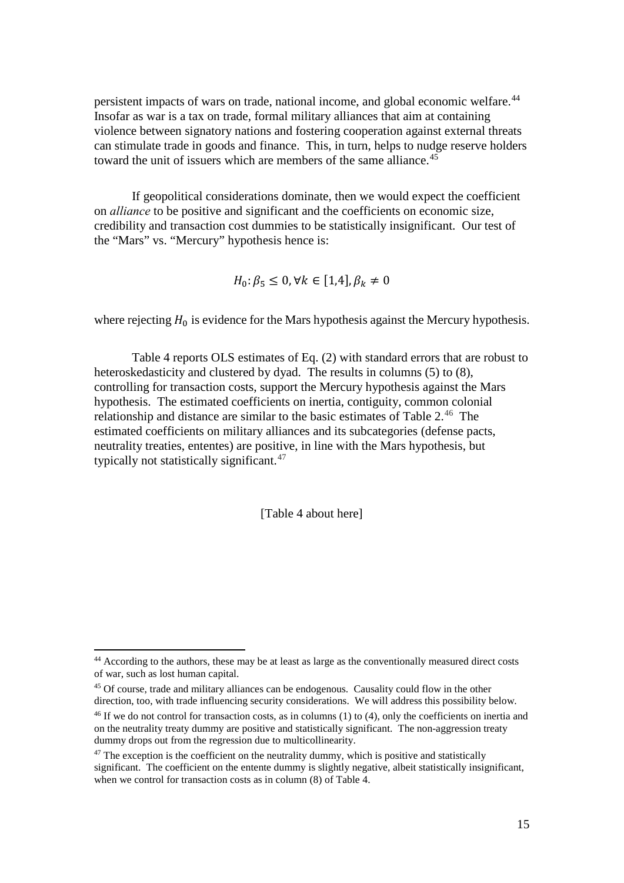persistent impacts of wars on trade, national income, and global economic welfare.<sup>[44](#page-15-0)</sup> Insofar as war is a tax on trade, formal military alliances that aim at containing violence between signatory nations and fostering cooperation against external threats can stimulate trade in goods and finance. This, in turn, helps to nudge reserve holders toward the unit of issuers which are members of the same alliance.<sup>[45](#page-15-1)</sup>

If geopolitical considerations dominate, then we would expect the coefficient on *alliance* to be positive and significant and the coefficients on economic size, credibility and transaction cost dummies to be statistically insignificant. Our test of the "Mars" vs. "Mercury" hypothesis hence is:

$$
H_0: \beta_5 \le 0, \forall k \in [1,4], \beta_k \ne 0
$$

where rejecting  $H_0$  is evidence for the Mars hypothesis against the Mercury hypothesis.

 Table 4 reports OLS estimates of Eq. (2) with standard errors that are robust to heteroskedasticity and clustered by dyad. The results in columns (5) to (8), controlling for transaction costs, support the Mercury hypothesis against the Mars hypothesis. The estimated coefficients on inertia, contiguity, common colonial relationship and distance are similar to the basic estimates of Table  $2^{46}$  $2^{46}$  $2^{46}$ . The estimated coefficients on military alliances and its subcategories (defense pacts, neutrality treaties, ententes) are positive, in line with the Mars hypothesis, but typically not statistically significant. $47$ 

[Table 4 about here]

<span id="page-15-0"></span><sup>&</sup>lt;sup>44</sup> According to the authors, these may be at least as large as the conventionally measured direct costs of war, such as lost human capital.

<span id="page-15-1"></span><sup>&</sup>lt;sup>45</sup> Of course, trade and military alliances can be endogenous. Causality could flow in the other direction, too, with trade influencing security considerations. We will address this possibility below.

<span id="page-15-2"></span><sup>46</sup> If we do not control for transaction costs, as in columns (1) to (4), only the coefficients on inertia and on the neutrality treaty dummy are positive and statistically significant. The non-aggression treaty dummy drops out from the regression due to multicollinearity.

<span id="page-15-3"></span> $47$  The exception is the coefficient on the neutrality dummy, which is positive and statistically significant. The coefficient on the entente dummy is slightly negative, albeit statistically insignificant, when we control for transaction costs as in column (8) of Table 4.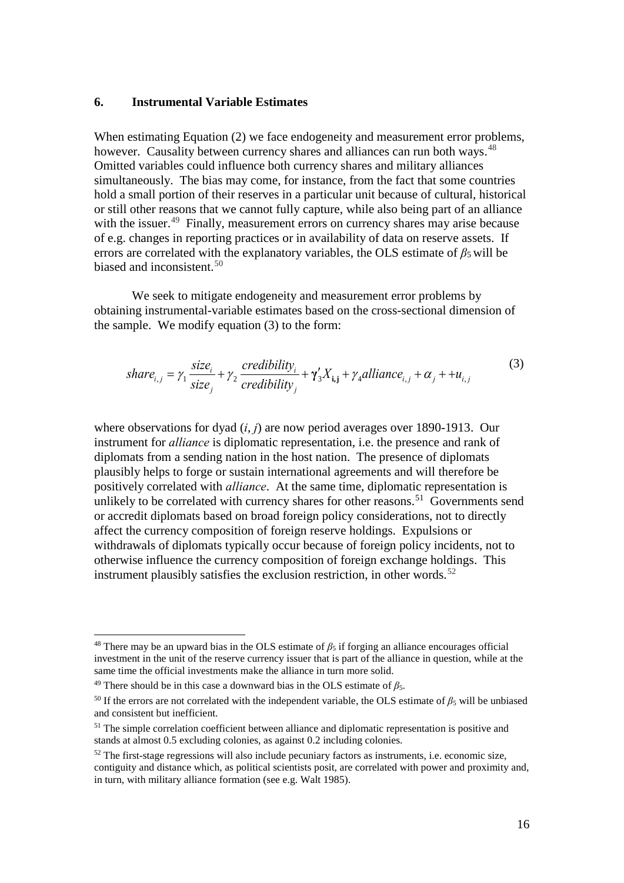## **6. Instrumental Variable Estimates**

When estimating Equation (2) we face endogeneity and measurement error problems, however. Causality between currency shares and alliances can run both ways.<sup>[48](#page-16-0)</sup> Omitted variables could influence both currency shares and military alliances simultaneously. The bias may come, for instance, from the fact that some countries hold a small portion of their reserves in a particular unit because of cultural, historical or still other reasons that we cannot fully capture, while also being part of an alliance with the issuer.<sup>49</sup> Finally, measurement errors on currency shares may arise because of e.g. changes in reporting practices or in availability of data on reserve assets. If errors are correlated with the explanatory variables, the OLS estimate of  $\beta_5$  will be biased and inconsistent.<sup>[50](#page-16-2)</sup>

We seek to mitigate endogeneity and measurement error problems by obtaining instrumental-variable estimates based on the cross-sectional dimension of the sample. We modify equation (3) to the form:

$$
share_{i,j} = \gamma_1 \frac{size_i}{size_j} + \gamma_2 \frac{creditity_i}{creditity_j} + \gamma_3'X_{i,j} + \gamma_4 \text{alliance}_{i,j} + \alpha_j + \mu_{i,j}
$$
(3)

where observations for dyad (*i*, *j*) are now period averages over 1890-1913. Our instrument for *alliance* is diplomatic representation, i.e. the presence and rank of diplomats from a sending nation in the host nation. The presence of diplomats plausibly helps to forge or sustain international agreements and will therefore be positively correlated with *alliance*. At the same time, diplomatic representation is unlikely to be correlated with currency shares for other reasons.<sup>51</sup> Governments send or accredit diplomats based on broad foreign policy considerations, not to directly affect the currency composition of foreign reserve holdings. Expulsions or withdrawals of diplomats typically occur because of foreign policy incidents, not to otherwise influence the currency composition of foreign exchange holdings. This instrument plausibly satisfies the exclusion restriction, in other words.<sup>[52](#page-16-4)</sup>

<span id="page-16-0"></span><sup>&</sup>lt;sup>48</sup> There may be an upward bias in the OLS estimate of  $\beta_5$  if forging an alliance encourages official investment in the unit of the reserve currency issuer that is part of the alliance in question, while at the same time the official investments make the alliance in turn more solid.

<span id="page-16-1"></span><sup>&</sup>lt;sup>49</sup> There should be in this case a downward bias in the OLS estimate of  $\beta_5$ .

<span id="page-16-2"></span><sup>&</sup>lt;sup>50</sup> If the errors are not correlated with the independent variable, the OLS estimate of  $\beta_5$  will be unbiased and consistent but inefficient.

<span id="page-16-3"></span><sup>&</sup>lt;sup>51</sup> The simple correlation coefficient between alliance and diplomatic representation is positive and stands at almost 0.5 excluding colonies, as against 0.2 including colonies.

<span id="page-16-4"></span><sup>&</sup>lt;sup>52</sup> The first-stage regressions will also include pecuniary factors as instruments, i.e. economic size, contiguity and distance which, as political scientists posit, are correlated with power and proximity and, in turn, with military alliance formation (see e.g. Walt 1985).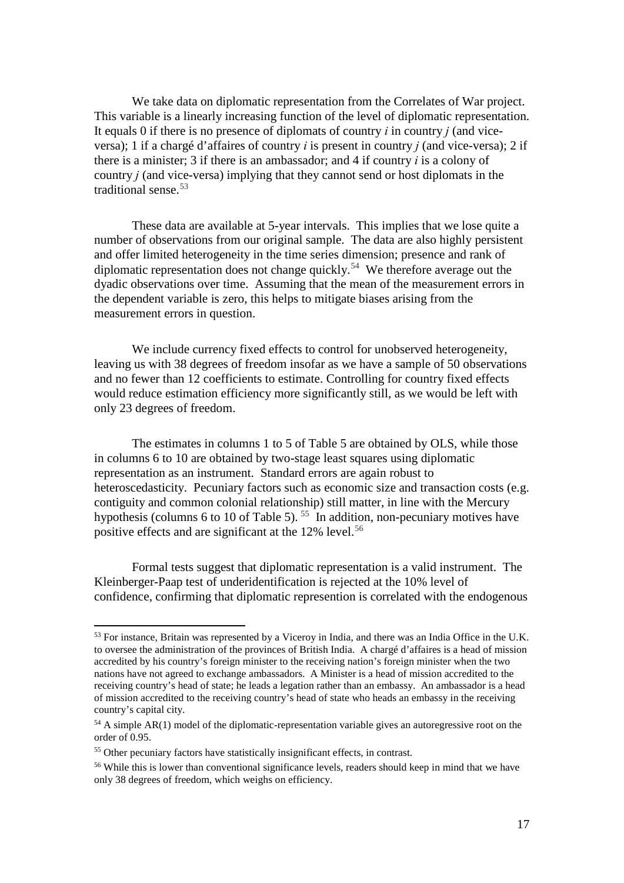We take data on diplomatic representation from the Correlates of War project. This variable is a linearly increasing function of the level of diplomatic representation. It equals 0 if there is no presence of diplomats of country *i* in country *j* (and viceversa); 1 if a chargé d'affaires of country *i* is present in country *j* (and vice-versa); 2 if there is a minister; 3 if there is an ambassador; and 4 if country *i* is a colony of country *j* (and vice-versa) implying that they cannot send or host diplomats in the traditional sense.<sup>[53](#page-17-0)</sup>

These data are available at 5-year intervals. This implies that we lose quite a number of observations from our original sample. The data are also highly persistent and offer limited heterogeneity in the time series dimension; presence and rank of diplomatic representation does not change quickly.<sup>[54](#page-17-1)</sup> We therefore average out the dyadic observations over time. Assuming that the mean of the measurement errors in the dependent variable is zero, this helps to mitigate biases arising from the measurement errors in question.

We include currency fixed effects to control for unobserved heterogeneity, leaving us with 38 degrees of freedom insofar as we have a sample of 50 observations and no fewer than 12 coefficients to estimate. Controlling for country fixed effects would reduce estimation efficiency more significantly still, as we would be left with only 23 degrees of freedom.

The estimates in columns 1 to 5 of Table 5 are obtained by OLS, while those in columns 6 to 10 are obtained by two-stage least squares using diplomatic representation as an instrument. Standard errors are again robust to heteroscedasticity. Pecuniary factors such as economic size and transaction costs (e.g. contiguity and common colonial relationship) still matter, in line with the Mercury hypothesis (columns 6 to 10 of Table 5).  $55$  In addition, non-pecuniary motives have positive effects and are significant at the 12% level. [56](#page-17-3) 

Formal tests suggest that diplomatic representation is a valid instrument. The Kleinberger-Paap test of underidentification is rejected at the 10% level of confidence, confirming that diplomatic represention is correlated with the endogenous

l

<span id="page-17-0"></span><sup>&</sup>lt;sup>53</sup> For instance, Britain was represented by a Viceroy in India, and there was an India Office in the U.K. to oversee the administration of the provinces of British India. A chargé d'affaires is a head of mission accredited by his country's foreign minister to the receiving nation's foreign minister when the two nations have not agreed to exchange ambassadors. A Minister is a head of mission accredited to the receiving country's head of state; he leads a legation rather than an embassy. An ambassador is a head of mission accredited to the receiving country's head of state who heads an embassy in the receiving country's capital city.

<span id="page-17-1"></span><sup>&</sup>lt;sup>54</sup> A simple AR(1) model of the diplomatic-representation variable gives an autoregressive root on the order of 0.95.

<span id="page-17-2"></span><sup>55</sup> Other pecuniary factors have statistically insignificant effects, in contrast.

<span id="page-17-3"></span><sup>&</sup>lt;sup>56</sup> While this is lower than conventional significance levels, readers should keep in mind that we have only 38 degrees of freedom, which weighs on efficiency.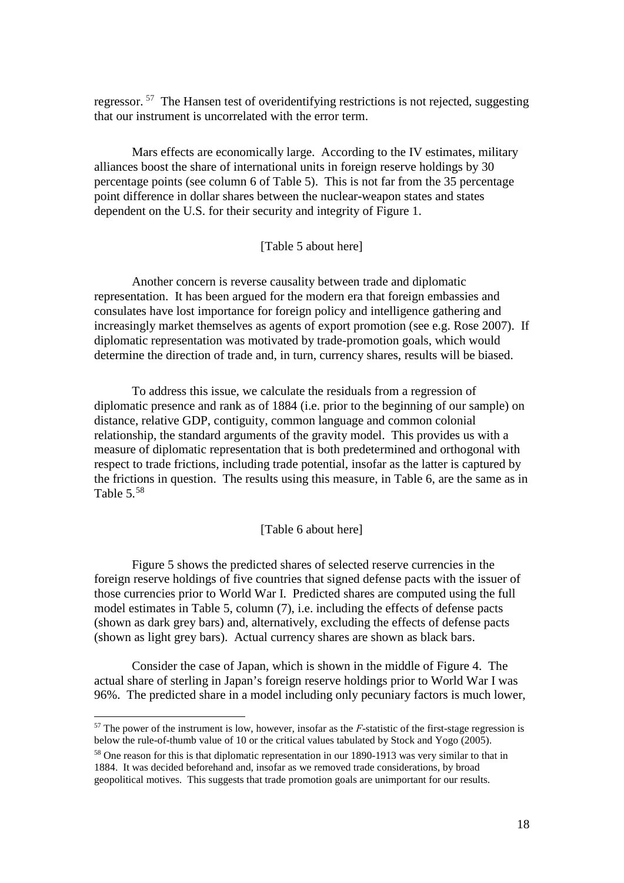regressor. [57](#page-18-0) The Hansen test of overidentifying restrictions is not rejected, suggesting that our instrument is uncorrelated with the error term.

Mars effects are economically large. According to the IV estimates, military alliances boost the share of international units in foreign reserve holdings by 30 percentage points (see column 6 of Table 5). This is not far from the 35 percentage point difference in dollar shares between the nuclear-weapon states and states dependent on the U.S. for their security and integrity of Figure 1.

### [Table 5 about here]

 Another concern is reverse causality between trade and diplomatic representation. It has been argued for the modern era that foreign embassies and consulates have lost importance for foreign policy and intelligence gathering and increasingly market themselves as agents of export promotion (see e.g. Rose 2007). If diplomatic representation was motivated by trade-promotion goals, which would determine the direction of trade and, in turn, currency shares, results will be biased.

To address this issue, we calculate the residuals from a regression of diplomatic presence and rank as of 1884 (i.e. prior to the beginning of our sample) on distance, relative GDP, contiguity, common language and common colonial relationship, the standard arguments of the gravity model. This provides us with a measure of diplomatic representation that is both predetermined and orthogonal with respect to trade frictions, including trade potential, insofar as the latter is captured by the frictions in question. The results using this measure, in Table 6, are the same as in Table 5.[58](#page-18-1)

#### [Table 6 about here]

Figure 5 shows the predicted shares of selected reserve currencies in the foreign reserve holdings of five countries that signed defense pacts with the issuer of those currencies prior to World War I. Predicted shares are computed using the full model estimates in Table 5, column (7), i.e. including the effects of defense pacts (shown as dark grey bars) and, alternatively, excluding the effects of defense pacts (shown as light grey bars). Actual currency shares are shown as black bars.

Consider the case of Japan, which is shown in the middle of Figure 4. The actual share of sterling in Japan's foreign reserve holdings prior to World War I was 96%. The predicted share in a model including only pecuniary factors is much lower,

<span id="page-18-0"></span><sup>&</sup>lt;sup>57</sup> The power of the instrument is low, however, insofar as the *F*-statistic of the first-stage regression is below the rule-of-thumb value of 10 or the critical values tabulated by Stock and Yogo (2005).

<span id="page-18-1"></span><sup>&</sup>lt;sup>58</sup> One reason for this is that diplomatic representation in our 1890-1913 was very similar to that in 1884. It was decided beforehand and, insofar as we removed trade considerations, by broad geopolitical motives. This suggests that trade promotion goals are unimportant for our results.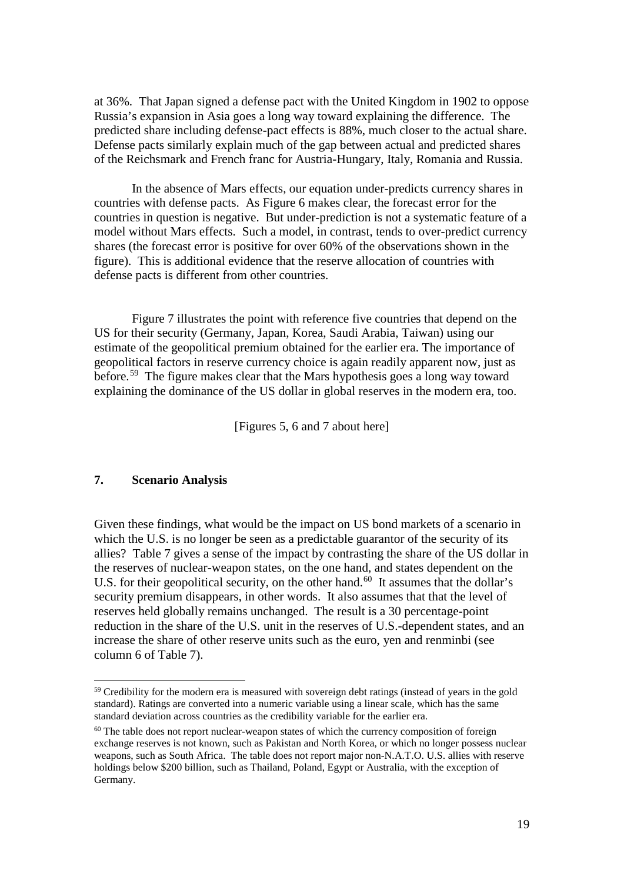at 36%. That Japan signed a defense pact with the United Kingdom in 1902 to oppose Russia's expansion in Asia goes a long way toward explaining the difference. The predicted share including defense-pact effects is 88%, much closer to the actual share. Defense pacts similarly explain much of the gap between actual and predicted shares of the Reichsmark and French franc for Austria-Hungary, Italy, Romania and Russia.

In the absence of Mars effects, our equation under-predicts currency shares in countries with defense pacts. As Figure 6 makes clear, the forecast error for the countries in question is negative. But under-prediction is not a systematic feature of a model without Mars effects. Such a model, in contrast, tends to over-predict currency shares (the forecast error is positive for over 60% of the observations shown in the figure). This is additional evidence that the reserve allocation of countries with defense pacts is different from other countries.

Figure 7 illustrates the point with reference five countries that depend on the US for their security (Germany, Japan, Korea, Saudi Arabia, Taiwan) using our estimate of the geopolitical premium obtained for the earlier era. The importance of geopolitical factors in reserve currency choice is again readily apparent now, just as before.<sup>[59](#page-19-0)</sup> The figure makes clear that the Mars hypothesis goes a long way toward explaining the dominance of the US dollar in global reserves in the modern era, too.

[Figures 5, 6 and 7 about here]

# **7. Scenario Analysis**

 $\overline{a}$ 

Given these findings, what would be the impact on US bond markets of a scenario in which the U.S. is no longer be seen as a predictable guarantor of the security of its allies? Table 7 gives a sense of the impact by contrasting the share of the US dollar in the reserves of nuclear-weapon states, on the one hand, and states dependent on the U.S. for their geopolitical security, on the other hand.<sup>[60](#page-19-1)</sup> It assumes that the dollar's security premium disappears, in other words. It also assumes that that the level of reserves held globally remains unchanged. The result is a 30 percentage-point reduction in the share of the U.S. unit in the reserves of U.S.-dependent states, and an increase the share of other reserve units such as the euro, yen and renminbi (see column 6 of Table 7).

<span id="page-19-0"></span><sup>&</sup>lt;sup>59</sup> Credibility for the modern era is measured with sovereign debt ratings (instead of years in the gold standard). Ratings are converted into a numeric variable using a linear scale, which has the same standard deviation across countries as the credibility variable for the earlier era.

<span id="page-19-1"></span> $60$  The table does not report nuclear-weapon states of which the currency composition of foreign exchange reserves is not known, such as Pakistan and North Korea, or which no longer possess nuclear weapons, such as South Africa. The table does not report major non-N.A.T.O. U.S. allies with reserve holdings below \$200 billion, such as Thailand, Poland, Egypt or Australia, with the exception of Germany.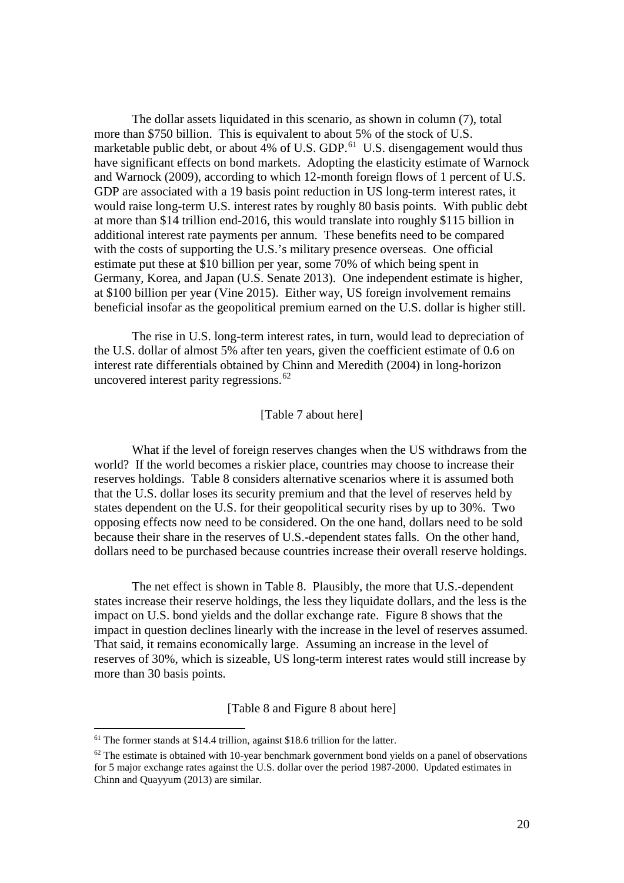The dollar assets liquidated in this scenario, as shown in column (7), total more than \$750 billion. This is equivalent to about 5% of the stock of U.S. marketable public debt, or about 4% of U.S. GDP.<sup>[61](#page-20-0)</sup> U.S. disengagement would thus have significant effects on bond markets. Adopting the elasticity estimate of Warnock and Warnock (2009), according to which 12-month foreign flows of 1 percent of U.S. GDP are associated with a 19 basis point reduction in US long-term interest rates, it would raise long-term U.S. interest rates by roughly 80 basis points. With public debt at more than \$14 trillion end-2016, this would translate into roughly \$115 billion in additional interest rate payments per annum. These benefits need to be compared with the costs of supporting the U.S.'s military presence overseas. One official estimate put these at \$10 billion per year, some 70% of which being spent in Germany, Korea, and Japan (U.S. Senate 2013). One independent estimate is higher, at \$100 billion per year (Vine 2015). Either way, US foreign involvement remains beneficial insofar as the geopolitical premium earned on the U.S. dollar is higher still.

The rise in U.S. long-term interest rates, in turn, would lead to depreciation of the U.S. dollar of almost 5% after ten years, given the coefficient estimate of 0.6 on interest rate differentials obtained by Chinn and Meredith (2004) in long-horizon uncovered interest parity regressions.  $62$ 

#### [Table 7 about here]

What if the level of foreign reserves changes when the US withdraws from the world? If the world becomes a riskier place, countries may choose to increase their reserves holdings. Table 8 considers alternative scenarios where it is assumed both that the U.S. dollar loses its security premium and that the level of reserves held by states dependent on the U.S. for their geopolitical security rises by up to 30%. Two opposing effects now need to be considered. On the one hand, dollars need to be sold because their share in the reserves of U.S.-dependent states falls. On the other hand, dollars need to be purchased because countries increase their overall reserve holdings.

The net effect is shown in Table 8. Plausibly, the more that U.S.-dependent states increase their reserve holdings, the less they liquidate dollars, and the less is the impact on U.S. bond yields and the dollar exchange rate. Figure 8 shows that the impact in question declines linearly with the increase in the level of reserves assumed. That said, it remains economically large. Assuming an increase in the level of reserves of 30%, which is sizeable, US long-term interest rates would still increase by more than 30 basis points.

[Table 8 and Figure 8 about here]

<span id="page-20-0"></span><sup>&</sup>lt;sup>61</sup> The former stands at \$14.4 trillion, against \$18.6 trillion for the latter.

<span id="page-20-1"></span> $62$  The estimate is obtained with 10-year benchmark government bond yields on a panel of observations for 5 major exchange rates against the U.S. dollar over the period 1987-2000. Updated estimates in Chinn and Quayyum (2013) are similar.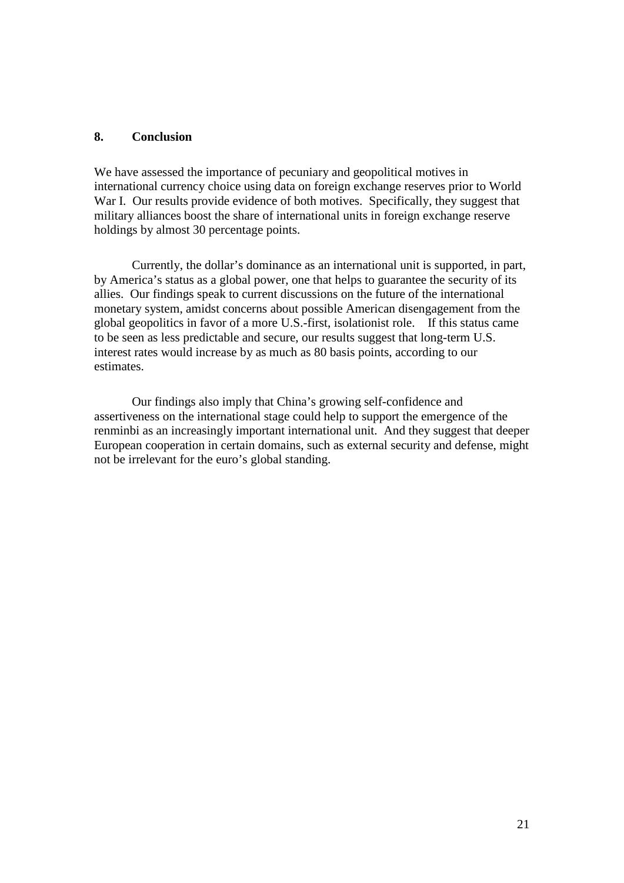## **8. Conclusion**

We have assessed the importance of pecuniary and geopolitical motives in international currency choice using data on foreign exchange reserves prior to World War I. Our results provide evidence of both motives. Specifically, they suggest that military alliances boost the share of international units in foreign exchange reserve holdings by almost 30 percentage points.

Currently, the dollar's dominance as an international unit is supported, in part, by America's status as a global power, one that helps to guarantee the security of its allies. Our findings speak to current discussions on the future of the international monetary system, amidst concerns about possible American disengagement from the global geopolitics in favor of a more U.S.-first, isolationist role. If this status came to be seen as less predictable and secure, our results suggest that long-term U.S. interest rates would increase by as much as 80 basis points, according to our estimates.

Our findings also imply that China's growing self-confidence and assertiveness on the international stage could help to support the emergence of the renminbi as an increasingly important international unit. And they suggest that deeper European cooperation in certain domains, such as external security and defense, might not be irrelevant for the euro's global standing.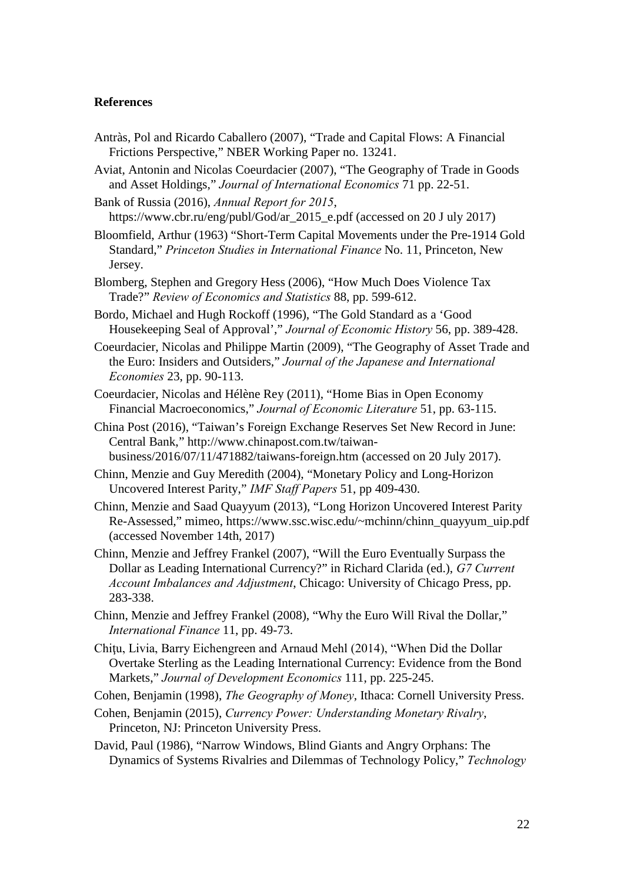## **References**

- Antràs, Pol and Ricardo Caballero (2007), "Trade and Capital Flows: A Financial Frictions Perspective," NBER Working Paper no. 13241.
- Aviat, Antonin and Nicolas Coeurdacier (2007), "The Geography of Trade in Goods and Asset Holdings," *Journal of International Economics* 71 pp. 22-51.
- Bank of Russia (2016), *Annual Report for 2015*, https://www.cbr.ru/eng/publ/God/ar\_2015\_e.pdf (accessed on 20 J uly 2017)
- Bloomfield, Arthur (1963) "Short-Term Capital Movements under the Pre-1914 Gold Standard," *Princeton Studies in International Finance* No. 11, Princeton, New Jersey.
- Blomberg, Stephen and Gregory Hess (2006), "How Much Does Violence Tax Trade?" *Review of Economics and Statistics* 88, pp. 599-612.
- Bordo, Michael and Hugh Rockoff (1996), "The Gold Standard as a 'Good Housekeeping Seal of Approval'," *Journal of Economic History* 56, pp. 389-428.
- Coeurdacier, Nicolas and Philippe Martin (2009), "The Geography of Asset Trade and the Euro: Insiders and Outsiders," *Journal of the Japanese and International Economies* 23, pp. 90-113.
- Coeurdacier, Nicolas and Hélène Rey (2011), "Home Bias in Open Economy Financial Macroeconomics," *Journal of Economic Literature* 51, pp. 63-115.
- China Post (2016), "Taiwan's Foreign Exchange Reserves Set New Record in June: Central Bank," http://www.chinapost.com.tw/taiwan-

business/2016/07/11/471882/taiwans-foreign.htm (accessed on 20 July 2017).

- Chinn, Menzie and Guy Meredith (2004), "Monetary Policy and Long-Horizon Uncovered Interest Parity," *IMF Staff Papers* 51, pp 409-430.
- Chinn, Menzie and Saad Quayyum (2013), "Long Horizon Uncovered Interest Parity Re-Assessed," mimeo, https://www.ssc.wisc.edu/~mchinn/chinn\_quayyum\_uip.pdf (accessed November 14th, 2017)
- Chinn, Menzie and Jeffrey Frankel (2007), "Will the Euro Eventually Surpass the Dollar as Leading International Currency?" in Richard Clarida (ed.), *G7 Current Account Imbalances and Adjustment*, Chicago: University of Chicago Press, pp. 283-338.
- Chinn, Menzie and Jeffrey Frankel (2008), "Why the Euro Will Rival the Dollar," *International Finance* 11, pp. 49-73.
- Chitu, Livia, Barry Eichengreen and Arnaud Mehl (2014), "When Did the Dollar Overtake Sterling as the Leading International Currency: Evidence from the Bond Markets," *Journal of Development Economics* 111, pp. 225-245.
- Cohen, Benjamin (1998), *The Geography of Money*, Ithaca: Cornell University Press.
- Cohen, Benjamin (2015), *Currency Power: Understanding Monetary Rivalry*, Princeton, NJ: Princeton University Press.
- David, Paul (1986), "Narrow Windows, Blind Giants and Angry Orphans: The Dynamics of Systems Rivalries and Dilemmas of Technology Policy," *Technology*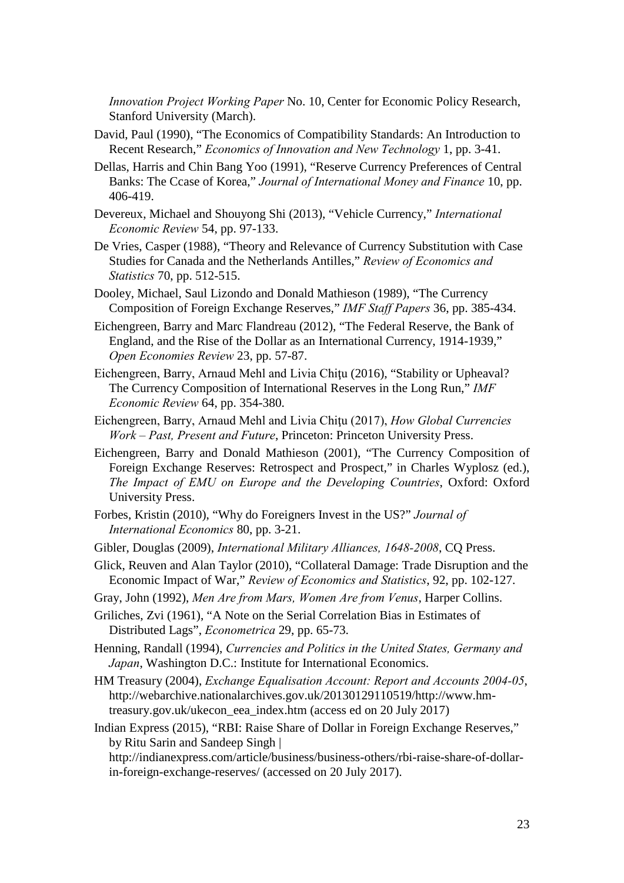*Innovation Project Working Paper* No. 10, Center for Economic Policy Research, Stanford University (March).

- David, Paul (1990), "The Economics of Compatibility Standards: An Introduction to Recent Research," *Economics of Innovation and New Technology* 1, pp. 3-41.
- Dellas, Harris and Chin Bang Yoo (1991), "Reserve Currency Preferences of Central Banks: The Ccase of Korea," *Journal of International Money and Finance* 10, pp. 406-419.
- Devereux, Michael and Shouyong Shi (2013), "Vehicle Currency," *International Economic Review* 54, pp. 97-133.
- De Vries, Casper (1988), "Theory and Relevance of Currency Substitution with Case Studies for Canada and the Netherlands Antilles," *Review of Economics and Statistics* 70, pp. 512-515.
- Dooley, Michael, Saul Lizondo and Donald Mathieson (1989), "The Currency Composition of Foreign Exchange Reserves," *IMF Staff Papers* 36, pp. 385-434.
- Eichengreen, Barry and Marc Flandreau (2012), "The Federal Reserve, the Bank of England, and the Rise of the Dollar as an International Currency, 1914-1939," *Open Economies Review* 23, pp. 57-87.
- Eichengreen, Barry, Arnaud Mehl and Livia Chitu (2016), "Stability or Upheaval? The Currency Composition of International Reserves in the Long Run," *IMF Economic Review* 64, pp. 354-380.
- Eichengreen, Barry, Arnaud Mehl and Livia Chiţu (2017), *How Global Currencies Work – Past, Present and Future*, Princeton: Princeton University Press.
- Eichengreen, Barry and Donald Mathieson (2001), "The Currency Composition of Foreign Exchange Reserves: Retrospect and Prospect," in Charles Wyplosz (ed.), *The Impact of EMU on Europe and the Developing Countries*, Oxford: Oxford University Press.
- Forbes, Kristin (2010), "Why do Foreigners Invest in the US?" *Journal of International Economics* 80, pp. 3-21.
- Gibler, Douglas (2009), *International Military Alliances, 1648-2008*, CQ Press.
- Glick, Reuven and Alan Taylor (2010), "Collateral Damage: Trade Disruption and the Economic Impact of War," *Review of Economics and Statistics*, 92, pp. 102-127.
- Gray, John (1992), *Men Are from Mars, Women Are from Venus*, Harper Collins.
- Griliches, Zvi (1961), "A Note on the Serial Correlation Bias in Estimates of Distributed Lags", *Econometrica* 29, pp. 65-73.
- Henning, Randall (1994), *Currencies and Politics in the United States, Germany and Japan*, Washington D.C.: Institute for International Economics.
- HM Treasury (2004), *Exchange Equalisation Account: Report and Accounts 2004-05*, http://webarchive.nationalarchives.gov.uk/20130129110519/http://www.hmtreasury.gov.uk/ukecon\_eea\_index.htm (access ed on 20 July 2017)
- Indian Express (2015), "RBI: Raise Share of Dollar in Foreign Exchange Reserves," by Ritu Sarin and Sandeep Singh | http://indianexpress.com/article/business/business-others/rbi-raise-share-of-dollarin-foreign-exchange-reserves/ (accessed on 20 July 2017).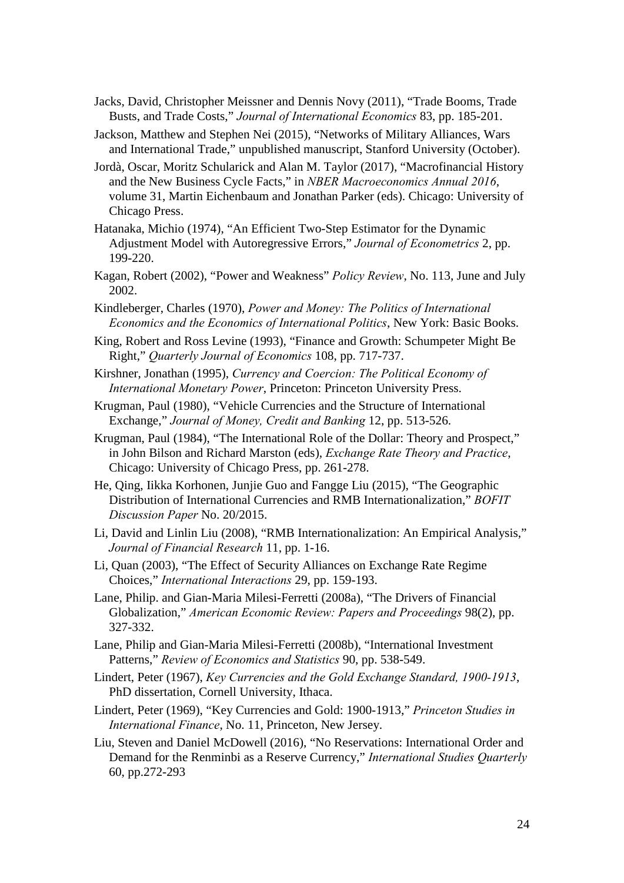Jacks, David, Christopher Meissner and Dennis Novy (2011), "Trade Booms, Trade Busts, and Trade Costs," *Journal of International Economics* 83, pp. 185-201.

Jackson, Matthew and Stephen Nei (2015), "Networks of Military Alliances, Wars and International Trade," unpublished manuscript, Stanford University (October).

- Jordà, Oscar, Moritz Schularick and Alan M. Taylor (2017), "Macrofinancial History and the New Business Cycle Facts," in *NBER Macroeconomics Annual 2016*, volume 31, Martin Eichenbaum and Jonathan Parker (eds). Chicago: University of Chicago Press.
- Hatanaka, Michio (1974), "An Efficient Two-Step Estimator for the Dynamic Adjustment Model with Autoregressive Errors," *Journal of Econometrics* 2, pp. 199-220.
- Kagan, Robert (2002), "Power and Weakness" *Policy Review*, No. 113, June and July 2002.
- Kindleberger, Charles (1970), *Power and Money: The Politics of International Economics and the Economics of International Politics*, New York: Basic Books.
- King, Robert and Ross Levine (1993), "Finance and Growth: Schumpeter Might Be Right," *Quarterly Journal of Economics* 108, pp. 717-737.
- Kirshner, Jonathan (1995), *Currency and Coercion: The Political Economy of International Monetary Power*, Princeton: Princeton University Press.
- Krugman, Paul (1980), "Vehicle Currencies and the Structure of International Exchange," *Journal of Money, Credit and Banking* 12, pp. 513-526.
- Krugman, Paul (1984), "The International Role of the Dollar: Theory and Prospect," in John Bilson and Richard Marston (eds), *Exchange Rate Theory and Practice*, Chicago: University of Chicago Press, pp. 261-278.
- He, Qing, Iikka Korhonen, Junjie Guo and Fangge Liu (2015), "The Geographic Distribution of International Currencies and RMB Internationalization," *BOFIT Discussion Paper* No. 20/2015.
- Li, David and Linlin Liu (2008), "RMB Internationalization: An Empirical Analysis," *Journal of Financial Research* 11, pp. 1-16.
- Li, Quan (2003), "The Effect of Security Alliances on Exchange Rate Regime Choices," *International Interactions* 29, pp. 159-193.
- Lane, Philip. and Gian-Maria Milesi-Ferretti (2008a), "The Drivers of Financial Globalization," *American Economic Review: Papers and Proceedings* 98(2), pp. 327-332.
- Lane, Philip and Gian-Maria Milesi-Ferretti (2008b), "International Investment Patterns," *Review of Economics and Statistics* 90, pp. 538-549.
- Lindert, Peter (1967), *Key Currencies and the Gold Exchange Standard, 1900-1913*, PhD dissertation, Cornell University, Ithaca.
- Lindert, Peter (1969), "Key Currencies and Gold: 1900-1913," *Princeton Studies in International Finance*, No. 11, Princeton, New Jersey.
- Liu, Steven and Daniel McDowell (2016), "No Reservations: International Order and Demand for the Renminbi as a Reserve Currency," *International Studies Quarterly* 60, pp.272-293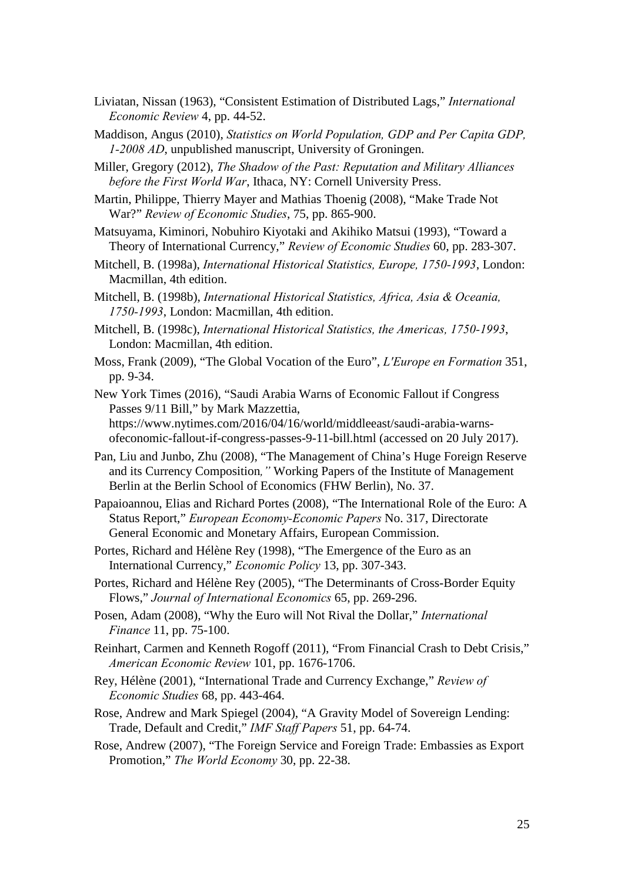- Liviatan, Nissan (1963), "Consistent Estimation of Distributed Lags," *International Economic Review* 4, pp. 44-52.
- Maddison, Angus (2010), *Statistics on World Population, GDP and Per Capita GDP, 1-2008 AD*, unpublished manuscript, University of Groningen.
- Miller, Gregory (2012), *The Shadow of the Past: Reputation and Military Alliances before the First World War*, Ithaca, NY: Cornell University Press.
- Martin, Philippe, Thierry Mayer and Mathias Thoenig (2008), "Make Trade Not War?" *Review of Economic Studies*, 75, pp. 865-900.
- Matsuyama, Kiminori, Nobuhiro Kiyotaki and Akihiko Matsui (1993), "Toward a Theory of International Currency," *Review of Economic Studies* 60, pp. 283-307.
- Mitchell, B. (1998a), *International Historical Statistics, Europe, 1750-1993*, London: Macmillan, 4th edition.
- Mitchell, B. (1998b), *International Historical Statistics, Africa, Asia & Oceania, 1750-1993*, London: Macmillan, 4th edition.
- Mitchell, B. (1998c), *International Historical Statistics, the Americas, 1750-1993*, London: Macmillan, 4th edition.
- Moss, Frank (2009), "The Global Vocation of the Euro", *L'Europe en Formation* 351, pp. 9-34.
- New York Times (2016), "Saudi Arabia Warns of Economic Fallout if Congress Passes 9/11 Bill," by Mark Mazzettia, [https://www.nytimes.com/2016/04/16/world/middleeast/saudi-arabia-warns](https://www.nytimes.com/2016/04/16/world/middleeast/saudi-arabia-warns-ofeconomic-fallout-if-congress-passes-9-11-bill.html)[ofeconomic-fallout-if-congress-passes-9-11-bill.html](https://www.nytimes.com/2016/04/16/world/middleeast/saudi-arabia-warns-ofeconomic-fallout-if-congress-passes-9-11-bill.html) (accessed on 20 July 2017).
- Pan, Liu and Junbo, Zhu (2008), "The Management of China's Huge Foreign Reserve and its Currency Composition*,"* Working Papers of the Institute of Management Berlin at the Berlin School of Economics (FHW Berlin), No. 37.
- Papaioannou, Elias and Richard Portes (2008), "The International Role of the Euro: A Status Report," *European Economy-Economic Papers* No. 317, Directorate General Economic and Monetary Affairs, European Commission.
- Portes, Richard and Hélène Rey (1998), "The Emergence of the Euro as an International Currency," *Economic Policy* 13, pp. 307-343.
- Portes, Richard and Hélène Rey (2005), "The Determinants of Cross-Border Equity Flows," *Journal of International Economics* 65, pp. 269-296.
- Posen, Adam (2008), "Why the Euro will Not Rival the Dollar," *International Finance* 11, pp. 75-100.
- Reinhart, Carmen and Kenneth Rogoff (2011), "From Financial Crash to Debt Crisis," *American Economic Review* 101, pp. 1676-1706.
- Rey, Hélène (2001), "International Trade and Currency Exchange," *Review of Economic Studies* 68, pp. 443-464.
- Rose, Andrew and Mark Spiegel (2004), "A Gravity Model of Sovereign Lending: Trade, Default and Credit," *IMF Staff Papers* 51, pp. 64-74.
- Rose, Andrew (2007), "The Foreign Service and Foreign Trade: Embassies as Export Promotion," *The World Economy* 30, pp. 22-38.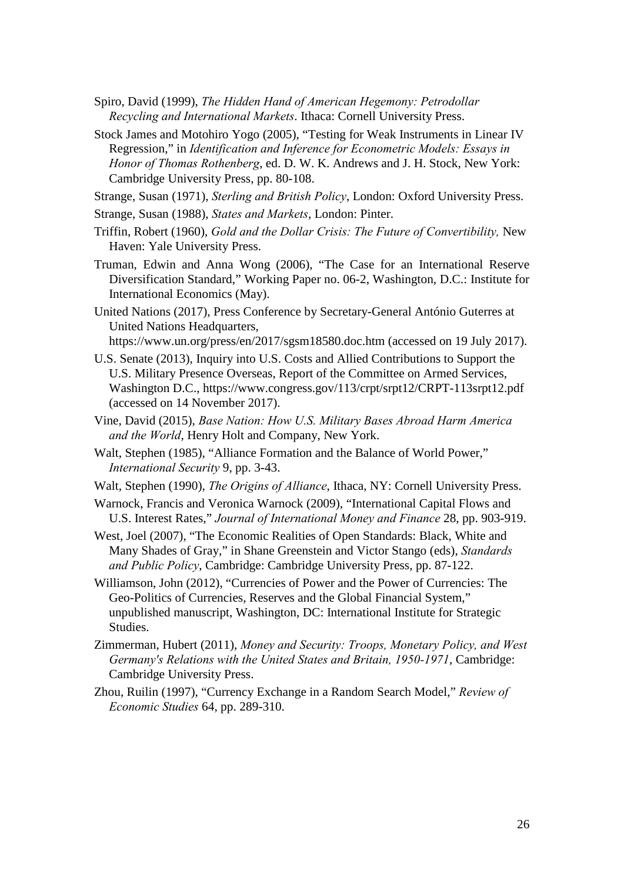- Spiro, David (1999), *The Hidden Hand of American Hegemony: Petrodollar Recycling and International Markets*. Ithaca: Cornell University Press.
- Stock James and Motohiro Yogo (2005), "Testing for Weak Instruments in Linear IV Regression," in *Identification and Inference for Econometric Models: Essays in Honor of Thomas Rothenberg*, ed. D. W. K. Andrews and J. H. Stock, New York: Cambridge University Press, pp. 80-108.

Strange, Susan (1971), *Sterling and British Policy*, London: Oxford University Press.

Strange, Susan (1988), *States and Markets*, London: Pinter.

- Triffin, Robert (1960), *Gold and the Dollar Crisis: The Future of Convertibility,* New Haven: Yale University Press.
- Truman, Edwin and Anna Wong (2006), "The Case for an International Reserve Diversification Standard," Working Paper no. 06-2, Washington, D.C.: Institute for International Economics (May).

United Nations (2017), Press Conference by Secretary-General António Guterres at United Nations Headquarters, https://www.un.org/press/en/2017/sgsm18580.doc.htm (accessed on 19 July 2017).

- U.S. Senate (2013), Inquiry into U.S. Costs and Allied Contributions to Support the U.S. Military Presence Overseas, Report of the Committee on Armed Services, Washington D.C., https://www.congress.gov/113/crpt/srpt12/CRPT-113srpt12.pdf (accessed on 14 November 2017).
- Vine, David (2015), *Base Nation: How U.S. Military Bases Abroad Harm America and the World*, Henry Holt and Company, New York.
- Walt, Stephen (1985), "Alliance Formation and the Balance of World Power," *International Security* 9, pp. 3-43.
- Walt, Stephen (1990), *The Origins of Alliance*, Ithaca, NY: Cornell University Press.
- Warnock, Francis and Veronica Warnock (2009), "International Capital Flows and U.S. Interest Rates," *Journal of International Money and Finance* 28, pp. 903-919.

West, Joel (2007), "The Economic Realities of Open Standards: Black, White and Many Shades of Gray," in Shane Greenstein and Victor Stango (eds), *Standards and Public Policy*, Cambridge: Cambridge University Press, pp. 87-122.

- Williamson, John (2012), "Currencies of Power and the Power of Currencies: The Geo-Politics of Currencies, Reserves and the Global Financial System," unpublished manuscript, Washington, DC: International Institute for Strategic **Studies**
- Zimmerman, Hubert (2011), *Money and Security: Troops, Monetary Policy, and West Germany's Relations with the United States and Britain, 1950-1971*, Cambridge: Cambridge University Press.
- Zhou, Ruilin (1997), "Currency Exchange in a Random Search Model," *Review of Economic Studies* 64, pp. 289-310.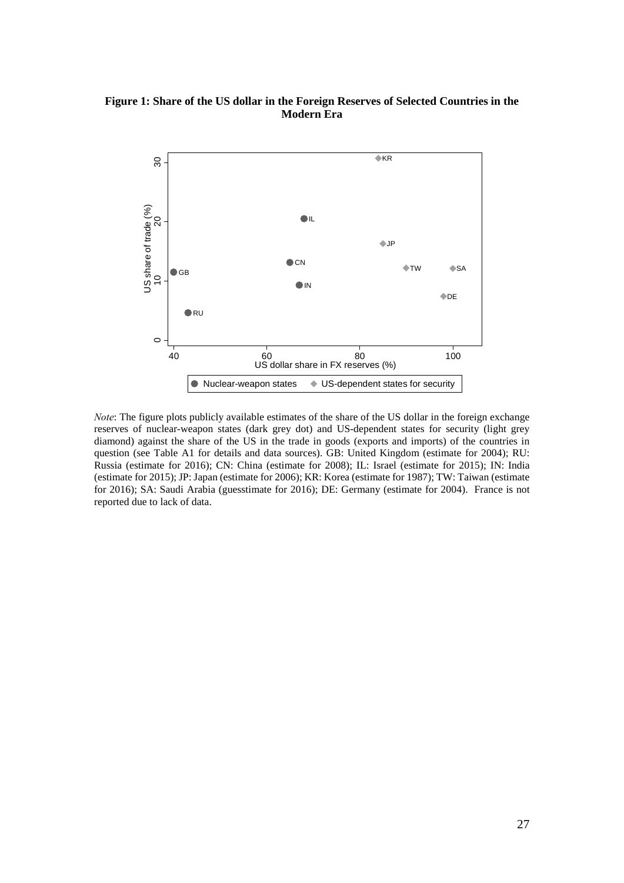## **Figure 1: Share of the US dollar in the Foreign Reserves of Selected Countries in the Modern Era**



*Note*: The figure plots publicly available estimates of the share of the US dollar in the foreign exchange reserves of nuclear-weapon states (dark grey dot) and US-dependent states for security (light grey diamond) against the share of the US in the trade in goods (exports and imports) of the countries in question (see Table A1 for details and data sources). GB: United Kingdom (estimate for 2004); RU: Russia (estimate for 2016); CN: China (estimate for 2008); IL: Israel (estimate for 2015); IN: India (estimate for 2015); JP: Japan (estimate for 2006); KR: Korea (estimate for 1987); TW: Taiwan (estimate for 2016); SA: Saudi Arabia (guesstimate for 2016); DE: Germany (estimate for 2004). France is not reported due to lack of data.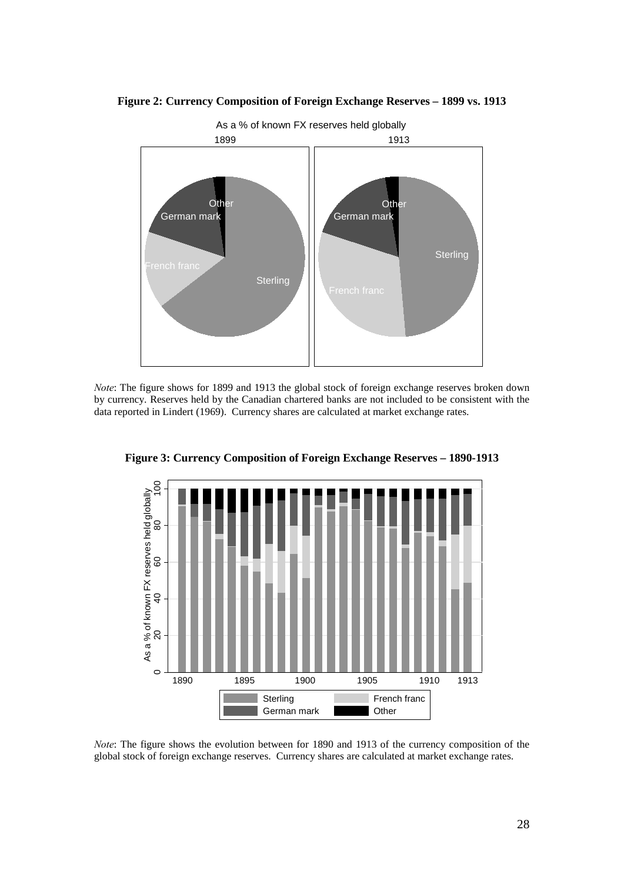



*Note*: The figure shows for 1899 and 1913 the global stock of foreign exchange reserves broken down by currency. Reserves held by the Canadian chartered banks are not included to be consistent with the data reported in Lindert (1969). Currency shares are calculated at market exchange rates.



**Figure 3: Currency Composition of Foreign Exchange Reserves – 1890-1913** 

*Note*: The figure shows the evolution between for 1890 and 1913 of the currency composition of the global stock of foreign exchange reserves. Currency shares are calculated at market exchange rates.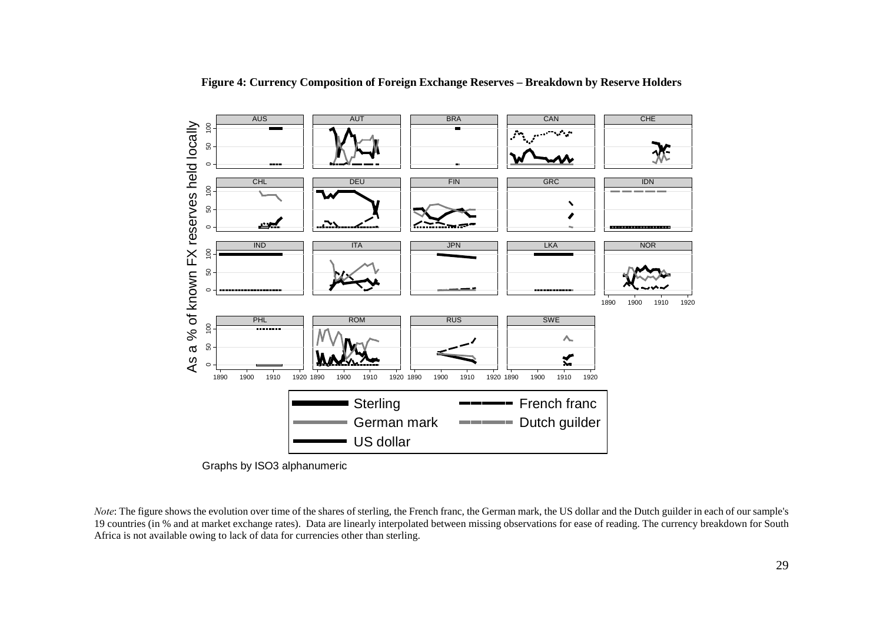

**Figure 4: Currency Composition of Foreign Exchange Reserves – Breakdown by Reserve Holders**

*Note*: The figure shows the evolution over time of the shares of sterling, the French franc, the German mark, the US dollar and the Dutch guilder in each of our sample's 19 countries (in % and at market exchange rates). Data are linearly interpolated between missing observations for ease of reading. The currency breakdown for South Africa is not available owing to lack of data for currencies other than sterling.

Graphs by ISO3 alphanumeric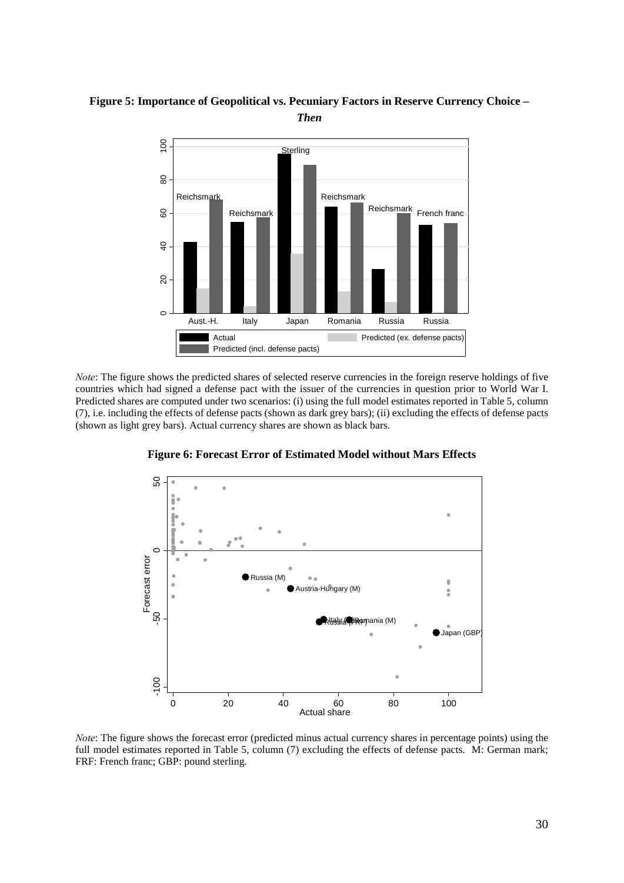

**Figure 5: Importance of Geopolitical vs. Pecuniary Factors in Reserve Currency Choice –**  *Then*

*Note*: The figure shows the predicted shares of selected reserve currencies in the foreign reserve holdings of five countries which had signed a defense pact with the issuer of the currencies in question prior to World War I. Predicted shares are computed under two scenarios: (i) using the full model estimates reported in Table 5, column (7), i.e. including the effects of defense pacts (shown as dark grey bars); (ii) excluding the effects of defense pacts (shown as light grey bars). Actual currency shares are shown as black bars.



**Figure 6: Forecast Error of Estimated Model without Mars Effects** 

*Note*: The figure shows the forecast error (predicted minus actual currency shares in percentage points) using the full model estimates reported in Table 5, column (7) excluding the effects of defense pacts. M: German mark; FRF: French franc; GBP: pound sterling.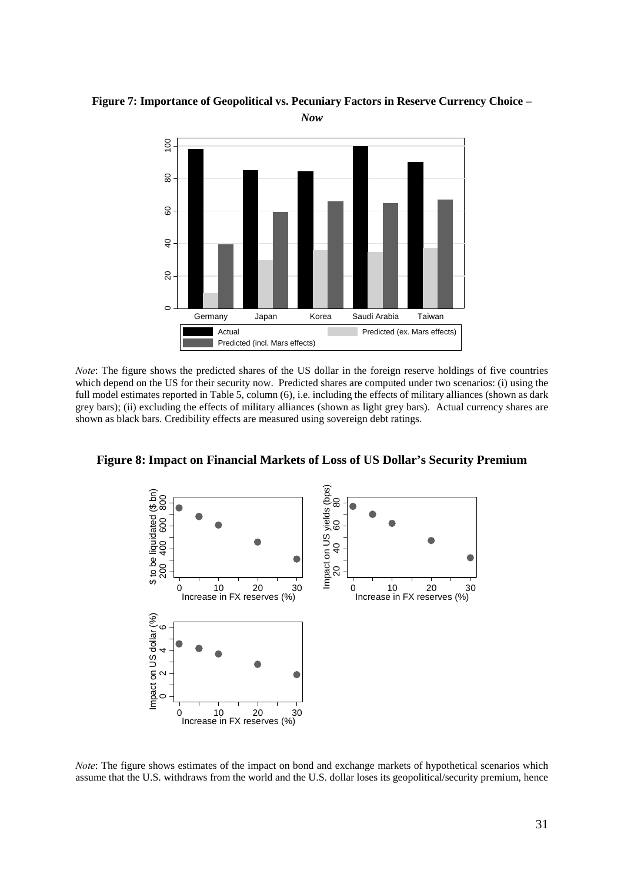**Figure 7: Importance of Geopolitical vs. Pecuniary Factors in Reserve Currency Choice –** 



*Note*: The figure shows the predicted shares of the US dollar in the foreign reserve holdings of five countries which depend on the US for their security now. Predicted shares are computed under two scenarios: (i) using the full model estimates reported in Table 5, column (6), i.e. including the effects of military alliances (shown as dark grey bars); (ii) excluding the effects of military alliances (shown as light grey bars). Actual currency shares are shown as black bars. Credibility effects are measured using sovereign debt ratings.





*Note*: The figure shows estimates of the impact on bond and exchange markets of hypothetical scenarios which assume that the U.S. withdraws from the world and the U.S. dollar loses its geopolitical/security premium, hence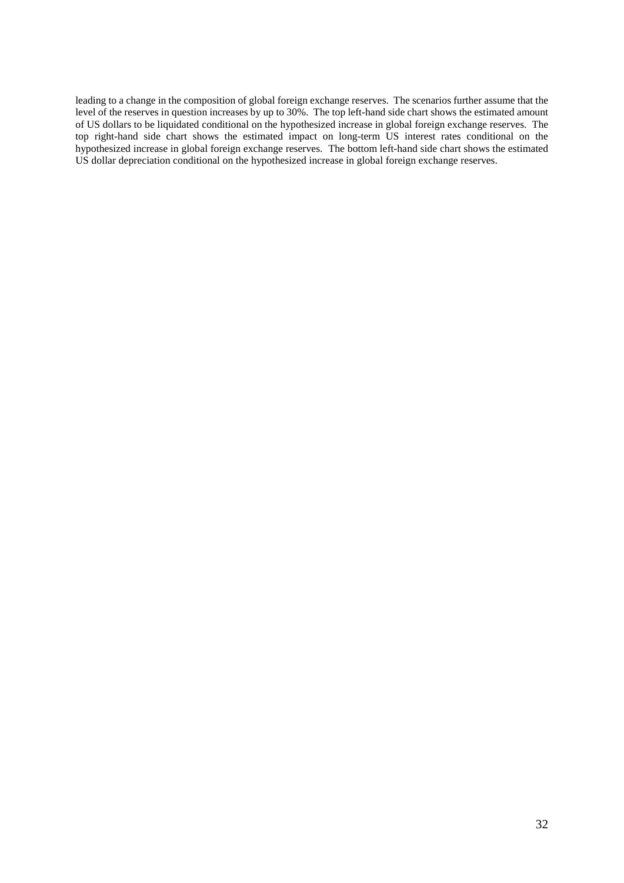leading to a change in the composition of global foreign exchange reserves. The scenarios further assume that the level of the reserves in question increases by up to 30%. The top left-hand side chart shows the estimated amount of US dollars to be liquidated conditional on the hypothesized increase in global foreign exchange reserves. The top right-hand side chart shows the estimated impact on long-term US interest rates conditional on the hypothesized increase in global foreign exchange reserves. The bottom left-hand side chart shows the estimated US dollar depreciation conditional on the hypothesized increase in global foreign exchange reserves.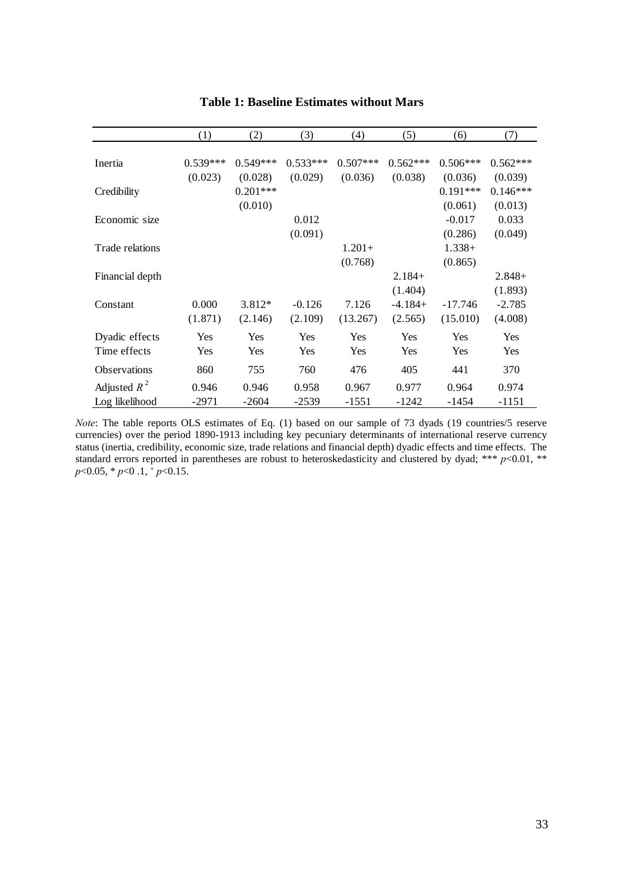|                 | (1)        | (2)        | (3)        | (4)        | (5)        | (6)        | (7)        |
|-----------------|------------|------------|------------|------------|------------|------------|------------|
|                 |            |            |            |            |            |            |            |
| Inertia         | $0.539***$ | $0.549***$ | $0.533***$ | $0.507***$ | $0.562***$ | $0.506***$ | $0.562***$ |
|                 | (0.023)    | (0.028)    | (0.029)    | (0.036)    | (0.038)    | (0.036)    | (0.039)    |
| Credibility     |            | $0.201***$ |            |            |            | $0.191***$ | $0.146***$ |
|                 |            | (0.010)    |            |            |            | (0.061)    | (0.013)    |
| Economic size   |            |            | 0.012      |            |            | $-0.017$   | 0.033      |
|                 |            |            | (0.091)    |            |            | (0.286)    | (0.049)    |
| Trade relations |            |            |            | $1.201+$   |            | $1.338+$   |            |
|                 |            |            |            | (0.768)    |            | (0.865)    |            |
| Financial depth |            |            |            |            | $2.184+$   |            | $2.848+$   |
|                 |            |            |            |            | (1.404)    |            | (1.893)    |
| Constant        | 0.000      | $3.812*$   | $-0.126$   | 7.126      | $-4.184+$  | $-17.746$  | $-2.785$   |
|                 | (1.871)    | (2.146)    | (2.109)    | (13.267)   | (2.565)    | (15.010)   | (4.008)    |
| Dyadic effects  | Yes        | Yes        | Yes        | Yes        | Yes        | Yes        | Yes        |
| Time effects    | Yes        | Yes        | Yes        | Yes        | Yes        | Yes        | Yes        |
| Observations    | 860        | 755        | 760        | 476        | 405        | 441        | 370        |
| Adjusted $R^2$  | 0.946      | 0.946      | 0.958      | 0.967      | 0.977      | 0.964      | 0.974      |
| Log likelihood  | $-2971$    | $-2604$    | $-2539$    | $-1551$    | $-1242$    | $-1454$    | $-1151$    |

# **Table 1: Baseline Estimates without Mars**

*Note*: The table reports OLS estimates of Eq. (1) based on our sample of 73 dyads (19 countries/5 reserve currencies) over the period 1890-1913 including key pecuniary determinants of international reserve currency status (inertia, credibility, economic size, trade relations and financial depth) dyadic effects and time effects. The standard errors reported in parentheses are robust to heteroskedasticity and clustered by dyad; \*\*\* *p*<0.01, \*\* *p*<0.05, \* *p*<0 .1, + *p*<0.15.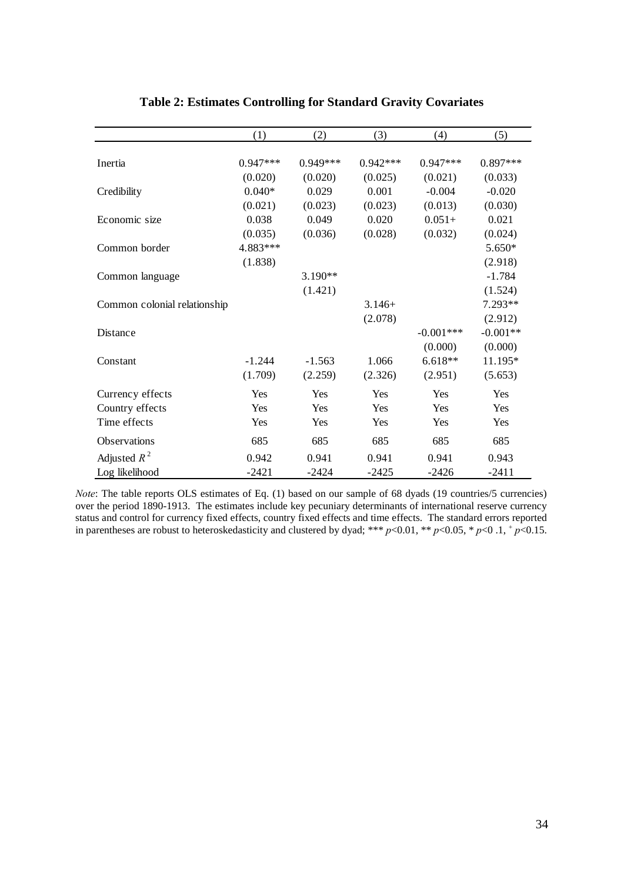|                              | (1)        | (2)        | (3)        | (4)         | (5)        |
|------------------------------|------------|------------|------------|-------------|------------|
|                              |            |            |            |             |            |
| Inertia                      | $0.947***$ | $0.949***$ | $0.942***$ | $0.947***$  | $0.897***$ |
|                              | (0.020)    | (0.020)    | (0.025)    | (0.021)     | (0.033)    |
| Credibility                  | $0.040*$   | 0.029      | 0.001      | $-0.004$    | $-0.020$   |
|                              | (0.021)    | (0.023)    | (0.023)    | (0.013)     | (0.030)    |
| Economic size                | 0.038      | 0.049      | 0.020      | $0.051+$    | 0.021      |
|                              | (0.035)    | (0.036)    | (0.028)    | (0.032)     | (0.024)    |
| Common border                | 4.883***   |            |            |             | 5.650*     |
|                              | (1.838)    |            |            |             | (2.918)    |
| Common language              |            | $3.190**$  |            |             | $-1.784$   |
|                              |            | (1.421)    |            |             | (1.524)    |
| Common colonial relationship |            |            | $3.146+$   |             | 7.293**    |
|                              |            |            | (2.078)    |             | (2.912)    |
| Distance                     |            |            |            | $-0.001***$ | $-0.001**$ |
|                              |            |            |            | (0.000)     | (0.000)    |
| Constant                     | $-1.244$   | $-1.563$   | 1.066      | $6.618**$   | 11.195*    |
|                              | (1.709)    | (2.259)    | (2.326)    | (2.951)     | (5.653)    |
| Currency effects             | Yes        | Yes        | Yes        | Yes         | Yes        |
| Country effects              | Yes        | Yes        | Yes        | Yes         | Yes        |
| Time effects                 | Yes        | Yes        | Yes        | Yes         | Yes        |
| Observations                 | 685        | 685        | 685        | 685         | 685        |
| Adjusted $R^2$               | 0.942      | 0.941      | 0.941      | 0.941       | 0.943      |
| Log likelihood               | $-2421$    | $-2424$    | $-2425$    | $-2426$     | $-2411$    |

# **Table 2: Estimates Controlling for Standard Gravity Covariates**

*Note*: The table reports OLS estimates of Eq. (1) based on our sample of 68 dyads (19 countries/5 currencies) over the period 1890-1913. The estimates include key pecuniary determinants of international reserve currency status and control for currency fixed effects, country fixed effects and time effects. The standard errors reported in parentheses are robust to heteroskedasticity and clustered by dyad; \*\*\*  $p < 0.01$ , \*\*  $p < 0.05$ , \*  $p < 0.1$ , +  $p < 0.15$ .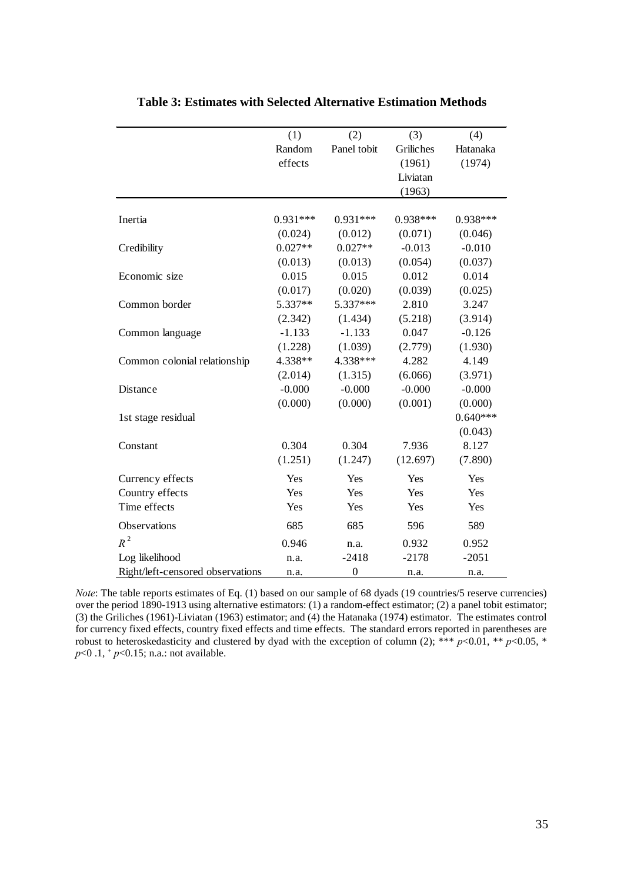|                                  | (1)        | (2)              | (3)        | (4)        |
|----------------------------------|------------|------------------|------------|------------|
|                                  | Random     | Panel tobit      | Griliches  | Hatanaka   |
|                                  | effects    |                  | (1961)     | (1974)     |
|                                  |            |                  | Liviatan   |            |
|                                  |            |                  | (1963)     |            |
|                                  |            |                  |            |            |
| Inertia                          | $0.931***$ | $0.931***$       | $0.938***$ | $0.938***$ |
|                                  | (0.024)    | (0.012)          | (0.071)    | (0.046)    |
| Credibility                      | $0.027**$  | $0.027**$        | $-0.013$   | $-0.010$   |
|                                  | (0.013)    | (0.013)          | (0.054)    | (0.037)    |
| Economic size                    | 0.015      | 0.015            | 0.012      | 0.014      |
|                                  | (0.017)    | (0.020)          | (0.039)    | (0.025)    |
| Common border                    | 5.337**    | 5.337***         | 2.810      | 3.247      |
|                                  | (2.342)    | (1.434)          | (5.218)    | (3.914)    |
| Common language                  | $-1.133$   | $-1.133$         | 0.047      | $-0.126$   |
|                                  | (1.228)    | (1.039)          | (2.779)    | (1.930)    |
| Common colonial relationship     | 4.338**    | 4.338***         | 4.282      | 4.149      |
|                                  | (2.014)    | (1.315)          | (6.066)    | (3.971)    |
| Distance                         | $-0.000$   | $-0.000$         | $-0.000$   | $-0.000$   |
|                                  | (0.000)    | (0.000)          | (0.001)    | (0.000)    |
| 1st stage residual               |            |                  |            | $0.640***$ |
|                                  |            |                  |            | (0.043)    |
| Constant                         | 0.304      | 0.304            | 7.936      | 8.127      |
|                                  | (1.251)    | (1.247)          | (12.697)   | (7.890)    |
| Currency effects                 | Yes        | Yes              | Yes        | Yes        |
| Country effects                  | Yes        | Yes              | Yes        | Yes        |
| Time effects                     | Yes        | Yes              | Yes        | Yes        |
| Observations                     | 685        | 685              | 596        | 589        |
| $R^2$                            | 0.946      | n.a.             | 0.932      | 0.952      |
| Log likelihood                   | n.a.       | $-2418$          | $-2178$    | $-2051$    |
| Right/left-censored observations | n.a.       | $\boldsymbol{0}$ | n.a.       | n.a.       |

**Table 3: Estimates with Selected Alternative Estimation Methods**

*Note*: The table reports estimates of Eq. (1) based on our sample of 68 dyads (19 countries/5 reserve currencies) over the period 1890-1913 using alternative estimators: (1) a random-effect estimator; (2) a panel tobit estimator; (3) the Griliches (1961)-Liviatan (1963) estimator; and (4) the Hatanaka (1974) estimator. The estimates control for currency fixed effects, country fixed effects and time effects. The standard errors reported in parentheses are robust to heteroskedasticity and clustered by dyad with the exception of column (2); \*\*\*  $p<0.01$ , \*\*  $p<0.05$ , \* *p*<0.1, <sup>+</sup> *p*<0.15; n.a.: not available.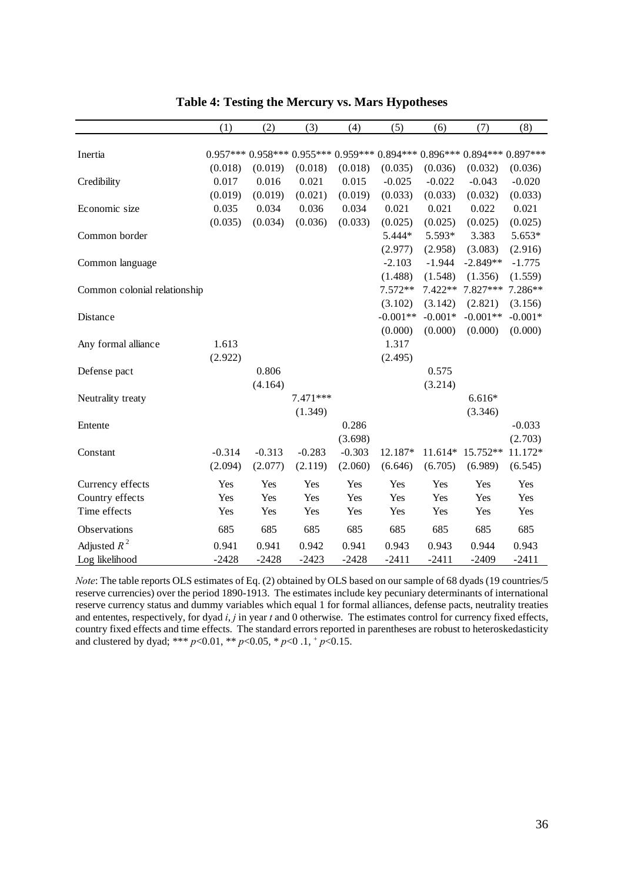|                              | (1)      | (2)      | (3)      | (4)      | (5)        | (6)       | (7)                                                                | (8)       |
|------------------------------|----------|----------|----------|----------|------------|-----------|--------------------------------------------------------------------|-----------|
| Inertia                      |          |          |          |          |            |           | $0.957***0.958***0.955***0.959***0.894***0.896***0.894***0.897***$ |           |
|                              |          |          |          |          |            |           |                                                                    |           |
|                              | (0.018)  | (0.019)  | (0.018)  | (0.018)  | (0.035)    | (0.036)   | (0.032)                                                            | (0.036)   |
| Credibility                  | 0.017    | 0.016    | 0.021    | 0.015    | $-0.025$   | $-0.022$  | $-0.043$                                                           | $-0.020$  |
|                              | (0.019)  | (0.019)  | (0.021)  | (0.019)  | (0.033)    | (0.033)   | (0.032)                                                            | (0.033)   |
| Economic size                | 0.035    | 0.034    | 0.036    | 0.034    | 0.021      | 0.021     | 0.022                                                              | 0.021     |
|                              | (0.035)  | (0.034)  | (0.036)  | (0.033)  | (0.025)    | (0.025)   | (0.025)                                                            | (0.025)   |
| Common border                |          |          |          |          | 5.444*     | 5.593*    | 3.383                                                              | 5.653*    |
|                              |          |          |          |          | (2.977)    | (2.958)   | (3.083)                                                            | (2.916)   |
| Common language              |          |          |          |          | $-2.103$   | $-1.944$  | $-2.849**$                                                         | $-1.775$  |
|                              |          |          |          |          | (1.488)    | (1.548)   | (1.356)                                                            | (1.559)   |
| Common colonial relationship |          |          |          |          | 7.572**    | $7.422**$ | 7.827***                                                           | 7.286**   |
|                              |          |          |          |          | (3.102)    | (3.142)   | (2.821)                                                            | (3.156)   |
| Distance                     |          |          |          |          | $-0.001**$ | $-0.001*$ | $-0.001**$                                                         | $-0.001*$ |
|                              |          |          |          |          | (0.000)    | (0.000)   | (0.000)                                                            | (0.000)   |
| Any formal alliance          | 1.613    |          |          |          | 1.317      |           |                                                                    |           |
|                              | (2.922)  |          |          |          | (2.495)    |           |                                                                    |           |
| Defense pact                 |          | 0.806    |          |          |            | 0.575     |                                                                    |           |
|                              |          | (4.164)  |          |          |            | (3.214)   |                                                                    |           |
| Neutrality treaty            |          |          | 7.471*** |          |            |           | $6.616*$                                                           |           |
|                              |          |          | (1.349)  |          |            |           | (3.346)                                                            |           |
| Entente                      |          |          |          | 0.286    |            |           |                                                                    | $-0.033$  |
|                              |          |          |          | (3.698)  |            |           |                                                                    | (2.703)   |
| Constant                     | $-0.314$ | $-0.313$ | $-0.283$ | $-0.303$ | 12.187*    | $11.614*$ | 15.752**                                                           | 11.172*   |
|                              | (2.094)  | (2.077)  | (2.119)  | (2.060)  | (6.646)    | (6.705)   | (6.989)                                                            | (6.545)   |
| Currency effects             | Yes      | Yes      | Yes      | Yes      | Yes        | Yes       | Yes                                                                | Yes       |
| Country effects              | Yes      | Yes      | Yes      | Yes      | Yes        | Yes       | Yes                                                                | Yes       |
| Time effects                 | Yes      | Yes      | Yes      | Yes      | Yes        | Yes       | Yes                                                                | Yes       |
|                              |          |          |          |          |            |           |                                                                    |           |
| Observations                 | 685      | 685      | 685      | 685      | 685        | 685       | 685                                                                | 685       |
| Adjusted $R^2$               | 0.941    | 0.941    | 0.942    | 0.941    | 0.943      | 0.943     | 0.944                                                              | 0.943     |
| Log likelihood               | $-2428$  | $-2428$  | $-2423$  | $-2428$  | $-2411$    | $-2411$   | $-2409$                                                            | $-2411$   |

**Table 4: Testing the Mercury vs. Mars Hypotheses**

*Note*: The table reports OLS estimates of Eq. (2) obtained by OLS based on our sample of 68 dyads (19 countries/5 reserve currencies) over the period 1890-1913. The estimates include key pecuniary determinants of international reserve currency status and dummy variables which equal 1 for formal alliances, defense pacts, neutrality treaties and ententes, respectively, for dyad *i*, *j* in year *t* and 0 otherwise. The estimates control for currency fixed effects, country fixed effects and time effects. The standard errors reported in parentheses are robust to heteroskedasticity and clustered by dyad; \*\*\*  $p < 0.01$ , \*\*  $p < 0.05$ , \*  $p < 0.1$ , +  $p < 0.15$ .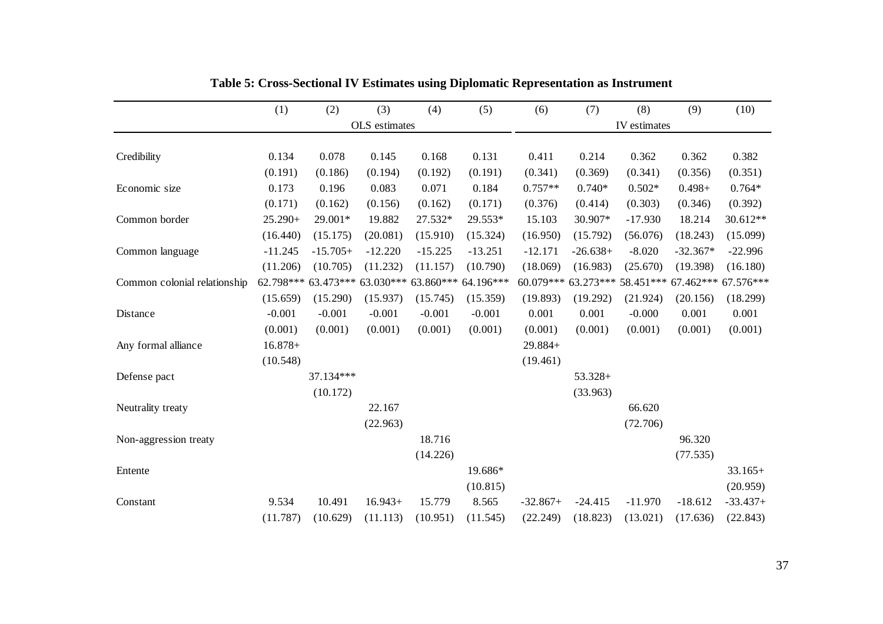|                              | (1)       | (2)        | (3)                                               | (4)       | (5)       | (6)        | (7)        | (8)          | (9)                                     | (10)       |
|------------------------------|-----------|------------|---------------------------------------------------|-----------|-----------|------------|------------|--------------|-----------------------------------------|------------|
|                              |           |            | OLS estimates                                     |           |           |            |            | IV estimates |                                         |            |
|                              |           |            |                                                   |           |           |            |            |              |                                         |            |
| Credibility                  | 0.134     | 0.078      | 0.145                                             | 0.168     | 0.131     | 0.411      | 0.214      | 0.362        | 0.362                                   | 0.382      |
|                              | (0.191)   | (0.186)    | (0.194)                                           | (0.192)   | (0.191)   | (0.341)    | (0.369)    | (0.341)      | (0.356)                                 | (0.351)    |
| Economic size                | 0.173     | 0.196      | 0.083                                             | 0.071     | 0.184     | $0.757**$  | $0.740*$   | $0.502*$     | $0.498 +$                               | $0.764*$   |
|                              | (0.171)   | (0.162)    | (0.156)                                           | (0.162)   | (0.171)   | (0.376)    | (0.414)    | (0.303)      | (0.346)                                 | (0.392)    |
| Common border                | $25.290+$ | 29.001*    | 19.882                                            | 27.532*   | 29.553*   | 15.103     | 30.907*    | $-17.930$    | 18.214                                  | 30.612**   |
|                              | (16.440)  | (15.175)   | (20.081)                                          | (15.910)  | (15.324)  | (16.950)   | (15.792)   | (56.076)     | (18.243)                                | (15.099)   |
| Common language              | $-11.245$ | $-15.705+$ | $-12.220$                                         | $-15.225$ | $-13.251$ | $-12.171$  | $-26.638+$ | $-8.020$     | $-32.367*$                              | $-22.996$  |
|                              | (11.206)  | (10.705)   | (11.232)                                          | (11.157)  | (10.790)  | (18.069)   | (16.983)   | (25.670)     | (19.398)                                | (16.180)   |
| Common colonial relationship |           |            | 62.798*** 63.473*** 63.030*** 63.860*** 64.196*** |           |           | 60.079***  |            |              | 63.273*** 58.451*** 67.462*** 67.576*** |            |
|                              | (15.659)  | (15.290)   | (15.937)                                          | (15.745)  | (15.359)  | (19.893)   | (19.292)   | (21.924)     | (20.156)                                | (18.299)   |
| Distance                     | $-0.001$  | $-0.001$   | $-0.001$                                          | $-0.001$  | $-0.001$  | 0.001      | 0.001      | $-0.000$     | 0.001                                   | 0.001      |
|                              | (0.001)   | (0.001)    | (0.001)                                           | (0.001)   | (0.001)   | (0.001)    | (0.001)    | (0.001)      | (0.001)                                 | (0.001)    |
| Any formal alliance          | $16.878+$ |            |                                                   |           |           | $29.884+$  |            |              |                                         |            |
|                              | (10.548)  |            |                                                   |           |           | (19.461)   |            |              |                                         |            |
| Defense pact                 |           | 37.134***  |                                                   |           |           |            | $53.328+$  |              |                                         |            |
|                              |           | (10.172)   |                                                   |           |           |            | (33.963)   |              |                                         |            |
| Neutrality treaty            |           |            | 22.167                                            |           |           |            |            | 66.620       |                                         |            |
|                              |           |            | (22.963)                                          |           |           |            |            | (72.706)     |                                         |            |
| Non-aggression treaty        |           |            |                                                   | 18.716    |           |            |            |              | 96.320                                  |            |
|                              |           |            |                                                   | (14.226)  |           |            |            |              | (77.535)                                |            |
| Entente                      |           |            |                                                   |           | 19.686*   |            |            |              |                                         | $33.165+$  |
|                              |           |            |                                                   |           | (10.815)  |            |            |              |                                         | (20.959)   |
| Constant                     | 9.534     | 10.491     | $16.943+$                                         | 15.779    | 8.565     | $-32.867+$ | $-24.415$  | $-11.970$    | $-18.612$                               | $-33.437+$ |
|                              | (11.787)  | (10.629)   | (11.113)                                          | (10.951)  | (11.545)  | (22.249)   | (18.823)   | (13.021)     | (17.636)                                | (22.843)   |

**Table 5: Cross-Sectional IV Estimates using Diplomatic Representation as Instrument**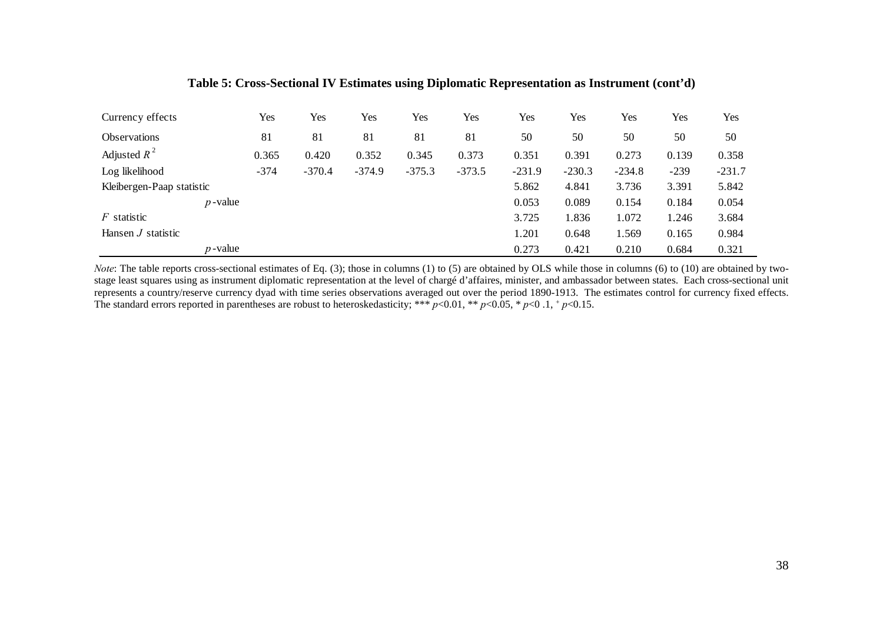| Currency effects          | Yes    | Yes      | Yes      | Yes      | Yes      | Yes      | Yes      | Yes      | Yes    | Yes      |
|---------------------------|--------|----------|----------|----------|----------|----------|----------|----------|--------|----------|
| <b>Observations</b>       | 81     | 81       | 81       | 81       | 81       | 50       | 50       | 50       | 50     | 50       |
| Adjusted $R^2$            | 0.365  | 0.420    | 0.352    | 0.345    | 0.373    | 0.351    | 0.391    | 0.273    | 0.139  | 0.358    |
| Log likelihood            | $-374$ | $-370.4$ | $-374.9$ | $-375.3$ | $-373.5$ | $-231.9$ | $-230.3$ | $-234.8$ | $-239$ | $-231.7$ |
| Kleibergen-Paap statistic |        |          |          |          |          | 5.862    | 4.841    | 3.736    | 3.391  | 5.842    |
| $p$ -value                |        |          |          |          |          | 0.053    | 0.089    | 0.154    | 0.184  | 0.054    |
| $F$ statistic             |        |          |          |          |          | 3.725    | 1.836    | 1.072    | 1.246  | 3.684    |
| Hansen <i>J</i> statistic |        |          |          |          |          | 1.201    | 0.648    | 1.569    | 0.165  | 0.984    |
| $p$ -value                |        |          |          |          |          | 0.273    | 0.421    | 0.210    | 0.684  | 0.321    |

## **Table 5: Cross-Sectional IV Estimates using Diplomatic Representation as Instrument (cont'd)**

 *Note*: The table reports cross-sectional estimates of Eq. (3); those in columns (1) to (5) are obtained by OLS while those in columns (6) to (10) are obtained by twostage least squares using as instrument diplomatic representation at the level of chargé d'affaires, minister, and ambassador between states. Each cross-sectional unit represents a country/reserve currency dyad with time series observations averaged out over the period 1890-1913. The estimates control for currency fixed effects. The standard errors reported in parentheses are robust to heteroskedasticity; \*\*\*  $p<0.01$ , \*\*  $p<0.05$ , \*  $p<0.1$ , +  $p<0.15$ .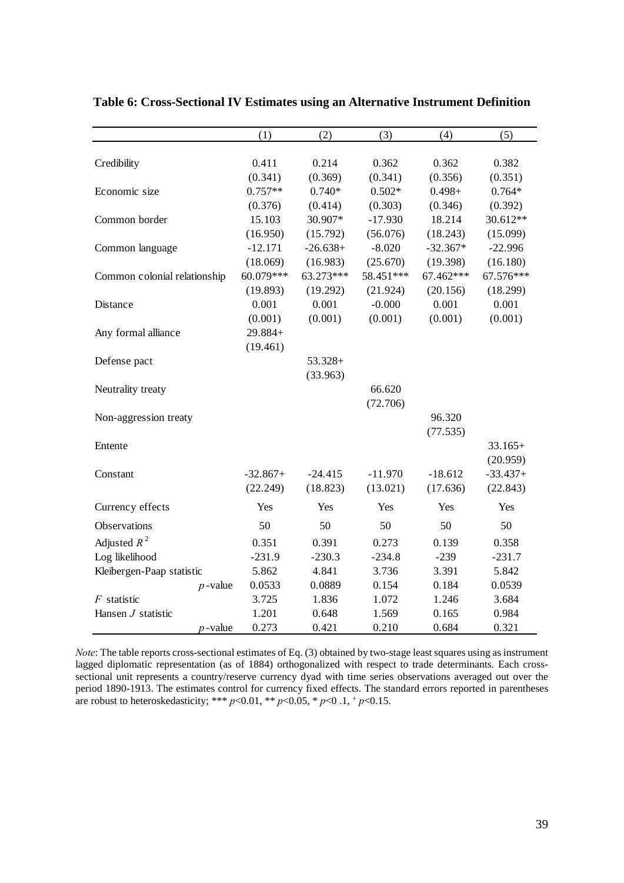|                              | (1)        | (2)        | (3)        | (4)        | (5)        |
|------------------------------|------------|------------|------------|------------|------------|
|                              |            |            |            |            |            |
| Credibility                  | 0.411      | 0.214      | 0.362      | 0.362      | 0.382      |
|                              | (0.341)    | (0.369)    | (0.341)    | (0.356)    | (0.351)    |
| Economic size                | $0.757**$  | $0.740*$   | $0.502*$   | $0.498 +$  | $0.764*$   |
|                              | (0.376)    | (0.414)    | (0.303)    | (0.346)    | (0.392)    |
| Common border                | 15.103     | 30.907*    | $-17.930$  | 18.214     | 30.612**   |
|                              | (16.950)   | (15.792)   | (56.076)   | (18.243)   | (15.099)   |
| Common language              | $-12.171$  | $-26.638+$ | $-8.020$   | $-32.367*$ | $-22.996$  |
|                              | (18.069)   | (16.983)   | (25.670)   | (19.398)   | (16.180)   |
| Common colonial relationship | 60.079***  | 63.273***  | 58.451 *** | 67.462***  | 67.576***  |
|                              | (19.893)   | (19.292)   | (21.924)   | (20.156)   | (18.299)   |
| Distance                     | 0.001      | 0.001      | $-0.000$   | 0.001      | 0.001      |
|                              | (0.001)    | (0.001)    | (0.001)    | (0.001)    | (0.001)    |
| Any formal alliance          | 29.884+    |            |            |            |            |
|                              | (19.461)   |            |            |            |            |
| Defense pact                 |            | $53.328+$  |            |            |            |
|                              |            | (33.963)   |            |            |            |
| Neutrality treaty            |            |            | 66.620     |            |            |
|                              |            |            | (72.706)   |            |            |
| Non-aggression treaty        |            |            |            | 96.320     |            |
|                              |            |            |            | (77.535)   |            |
| Entente                      |            |            |            |            | $33.165+$  |
|                              |            |            |            |            | (20.959)   |
| Constant                     | $-32.867+$ | $-24.415$  | $-11.970$  | $-18.612$  | $-33.437+$ |
|                              | (22.249)   | (18.823)   | (13.021)   | (17.636)   | (22.843)   |
| Currency effects             | Yes        | Yes        | Yes        | Yes        | Yes        |
| Observations                 | 50         | 50         | 50         | 50         | 50         |
| Adjusted $R^2$               | 0.351      | 0.391      | 0.273      | 0.139      | 0.358      |
| Log likelihood               | $-231.9$   | $-230.3$   | $-234.8$   | $-239$     | $-231.7$   |
| Kleibergen-Paap statistic    | 5.862      | 4.841      | 3.736      | 3.391      | 5.842      |
| $p$ -value                   | 0.0533     | 0.0889     | 0.154      | 0.184      | 0.0539     |
| $F$ statistic                | 3.725      | 1.836      | 1.072      | 1.246      | 3.684      |
| Hansen $J$ statistic         | 1.201      | 0.648      | 1.569      | 0.165      | 0.984      |
| $p$ -value                   | 0.273      | 0.421      | 0.210      | 0.684      | 0.321      |

**Table 6: Cross-Sectional IV Estimates using an Alternative Instrument Definition**

*Note*: The table reports cross-sectional estimates of Eq. (3) obtained by two-stage least squares using as instrument lagged diplomatic representation (as of 1884) orthogonalized with respect to trade determinants. Each crosssectional unit represents a country/reserve currency dyad with time series observations averaged out over the period 1890-1913. The estimates control for currency fixed effects. The standard errors reported in parentheses are robust to heteroskedasticity; \*\*\* *p*<0.01, \*\* *p*<0.05, \* *p*<0 .1, + *p*<0.15.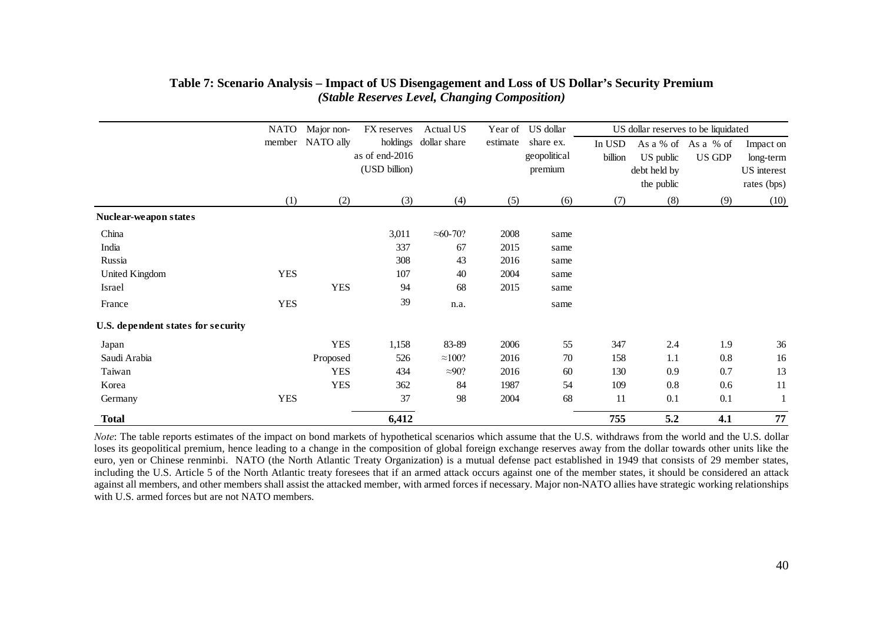|                                    | <b>NATO</b> | Major non-       | FX reserves    | Actual US          |          | US dollar<br>Year of |         | US dollar reserves to be liquidated |                     |             |
|------------------------------------|-------------|------------------|----------------|--------------------|----------|----------------------|---------|-------------------------------------|---------------------|-------------|
|                                    |             | member NATO ally | holdings       | dollar share       | estimate | share ex.            | In USD  |                                     | As a % of As a % of | Impact on   |
|                                    |             |                  | as of end-2016 |                    |          | geopolitical         | billion | US public                           | US GDP              | long-term   |
|                                    |             |                  | (USD billion)  |                    |          | premium              |         | debt held by                        |                     | US interest |
|                                    |             |                  |                |                    |          |                      |         | the public                          |                     | rates (bps) |
|                                    | (1)         | (2)              | (3)            | (4)                | (5)      | (6)                  | (7)     | (8)                                 | (9)                 | (10)        |
| Nuclear-weapon states              |             |                  |                |                    |          |                      |         |                                     |                     |             |
| China                              |             |                  | 3,011          | $\approx 60 - 70?$ | 2008     | same                 |         |                                     |                     |             |
| India                              |             |                  | 337            | 67                 | 2015     | same                 |         |                                     |                     |             |
| Russia                             |             |                  | 308            | 43                 | 2016     | same                 |         |                                     |                     |             |
| United Kingdom                     | <b>YES</b>  |                  | 107            | 40                 | 2004     | same                 |         |                                     |                     |             |
| Israel                             |             | <b>YES</b>       | 94             | 68                 | 2015     | same                 |         |                                     |                     |             |
| France                             | <b>YES</b>  |                  | 39             | n.a.               |          | same                 |         |                                     |                     |             |
| U.S. dependent states for security |             |                  |                |                    |          |                      |         |                                     |                     |             |
| Japan                              |             | <b>YES</b>       | 1,158          | 83-89              | 2006     | 55                   | 347     | 2.4                                 | 1.9                 | 36          |
| Saudi Arabia                       |             | Proposed         | 526            | $\approx$ 100?     | 2016     | 70                   | 158     | 1.1                                 | 0.8                 | 16          |
| Taiwan                             |             | <b>YES</b>       | 434            | $\approx 90$ ?     | 2016     | 60                   | 130     | 0.9                                 | 0.7                 | 13          |
| Korea                              |             | <b>YES</b>       | 362            | 84                 | 1987     | 54                   | 109     | 0.8                                 | 0.6                 | 11          |
| Germany                            | <b>YES</b>  |                  | 37             | 98                 | 2004     | 68                   | 11      | 0.1                                 | 0.1                 |             |
| <b>Total</b>                       |             |                  | 6,412          |                    |          |                      | 755     | 5.2                                 | 4.1                 | 77          |

## **Table 7: Scenario Analysis – Impact of US Disengagement and Loss of US Dollar's Security Premium** *(Stable Reserves Level, Changing Composition)*

*Note*: The table reports estimates of the impact on bond markets of hypothetical scenarios which assume that the U.S. withdraws from the world and the U.S. dollar loses its geopolitical premium, hence leading to a change in the composition of global foreign exchange reserves away from the dollar towards other units like the euro, yen or Chinese renminbi. NATO (the North Atlantic Treaty Organization) is a mutual defense pact established in 1949 that consists of 29 member states, including the U.S. Article 5 of the North Atlantic treaty foresees that if an armed attack occurs against one of the member states, it should be considered an attack against all members, and other members shall assist the attacked member, with armed forces if necessary. Major non-NATO allies have strategic working relationships with U.S. armed forces but are not NATO members.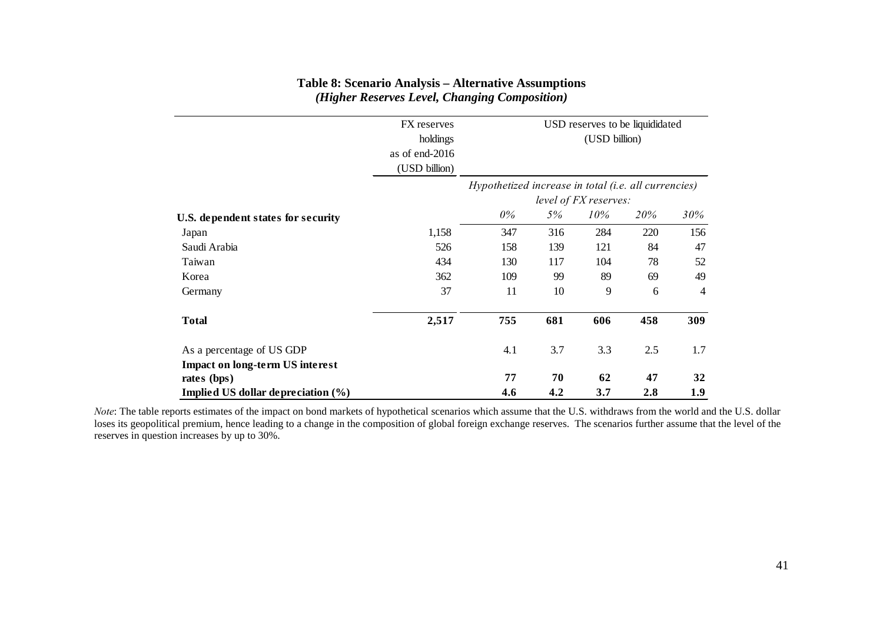|                                        | FX reserves    |               |                                                                               |     | USD reserves to be liquididated |     |  |  |  |  |
|----------------------------------------|----------------|---------------|-------------------------------------------------------------------------------|-----|---------------------------------|-----|--|--|--|--|
|                                        | holdings       | (USD billion) |                                                                               |     |                                 |     |  |  |  |  |
|                                        | as of end-2016 |               |                                                                               |     |                                 |     |  |  |  |  |
|                                        | (USD billion)  |               |                                                                               |     |                                 |     |  |  |  |  |
|                                        |                |               | Hypothetized increase in total (i.e. all currencies)<br>level of FX reserves: |     |                                 |     |  |  |  |  |
| U.S. dependent states for security     |                | 0%            | 5%                                                                            | 10% | 20%                             | 30% |  |  |  |  |
| Japan                                  | 1,158          | 347           | 316                                                                           | 284 | 220                             | 156 |  |  |  |  |
| Saudi Arabia                           | 526            | 158           | 139                                                                           | 121 | 84                              | 47  |  |  |  |  |
| Taiwan                                 | 434            | 130           | 117                                                                           | 104 | 78                              | 52  |  |  |  |  |
| Korea                                  | 362            | 109           | 99                                                                            | 89  | 69                              | 49  |  |  |  |  |
| Germany                                | 37             | 11            | 10                                                                            | 9   | 6                               | 4   |  |  |  |  |
| <b>Total</b>                           | 2,517          | 755           | 681                                                                           | 606 | 458                             | 309 |  |  |  |  |
| As a percentage of US GDP              |                | 4.1           | 3.7                                                                           | 3.3 | 2.5                             | 1.7 |  |  |  |  |
| <b>Impact on long-term US interest</b> |                |               |                                                                               |     |                                 |     |  |  |  |  |
| rates (bps)                            |                | 77            | 70                                                                            | 62  | 47                              | 32  |  |  |  |  |
| Implied US dollar depreciation (%)     |                | 4.6           | 4.2                                                                           | 3.7 | 2.8                             | 1.9 |  |  |  |  |

# **Table 8: Scenario Analysis – Alternative Assumptions** *(Higher Reserves Level, Changing Composition)*

*Note*: The table reports estimates of the impact on bond markets of hypothetical scenarios which assume that the U.S. withdraws from the world and the U.S. dollar loses its geopolitical premium, hence leading to a change in the composition of global foreign exchange reserves. The scenarios further assume that the level of the reserves in question increases by up to 30%.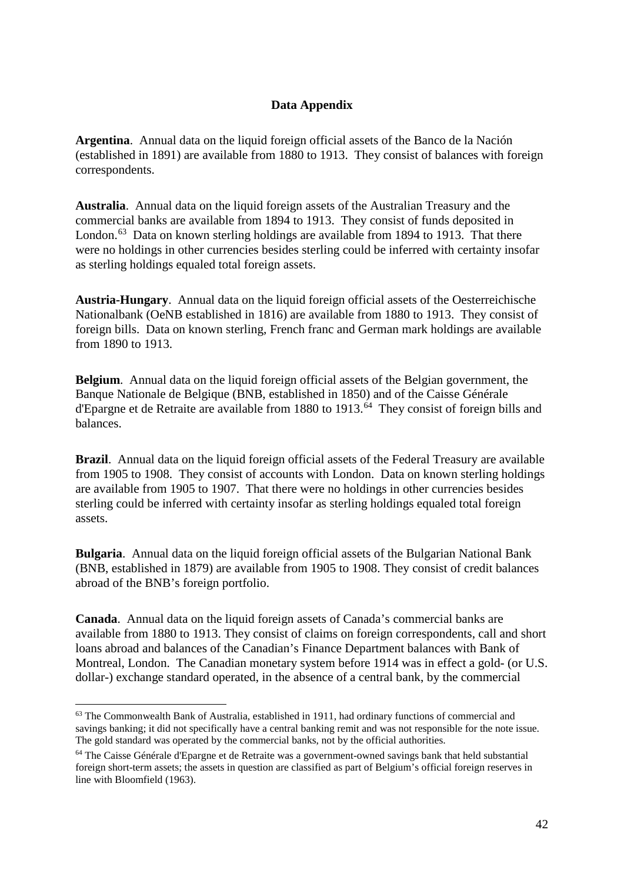# **Data Appendix**

**Argentina**. Annual data on the liquid foreign official assets of the Banco de la Nación (established in 1891) are available from 1880 to 1913. They consist of balances with foreign correspondents.

**Australia**. Annual data on the liquid foreign assets of the Australian Treasury and the commercial banks are available from 1894 to 1913. They consist of funds deposited in London.<sup>63</sup> Data on known sterling holdings are available from 1894 to 1913. That there were no holdings in other currencies besides sterling could be inferred with certainty insofar as sterling holdings equaled total foreign assets.

**Austria-Hungary**. Annual data on the liquid foreign official assets of the Oesterreichische Nationalbank (OeNB established in 1816) are available from 1880 to 1913. They consist of foreign bills. Data on known sterling, French franc and German mark holdings are available from 1890 to 1913.

**Belgium**. Annual data on the liquid foreign official assets of the Belgian government, the Banque Nationale de Belgique (BNB, established in 1850) and of the Caisse Générale d'Epargne et de Retraite are available from 1880 to 1913.[64](#page-42-1) They consist of foreign bills and balances.

**Brazil**. Annual data on the liquid foreign official assets of the Federal Treasury are available from 1905 to 1908. They consist of accounts with London. Data on known sterling holdings are available from 1905 to 1907. That there were no holdings in other currencies besides sterling could be inferred with certainty insofar as sterling holdings equaled total foreign assets.

**Bulgaria**. Annual data on the liquid foreign official assets of the Bulgarian National Bank (BNB, established in 1879) are available from 1905 to 1908. They consist of credit balances abroad of the BNB's foreign portfolio.

**Canada**. Annual data on the liquid foreign assets of Canada's commercial banks are available from 1880 to 1913. They consist of claims on foreign correspondents, call and short loans abroad and balances of the Canadian's Finance Department balances with Bank of Montreal, London. The Canadian monetary system before 1914 was in effect a gold- (or U.S. dollar-) exchange standard operated, in the absence of a central bank, by the commercial

<span id="page-42-0"></span><sup>&</sup>lt;sup>63</sup> The Commonwealth Bank of Australia, established in 1911, had ordinary functions of commercial and savings banking; it did not specifically have a central banking remit and was not responsible for the note issue. The gold standard was operated by the commercial banks, not by the official authorities.

<span id="page-42-1"></span><sup>64</sup> The Caisse Générale d'Epargne et de Retraite was a government-owned savings bank that held substantial foreign short-term assets; the assets in question are classified as part of Belgium's official foreign reserves in line with Bloomfield (1963).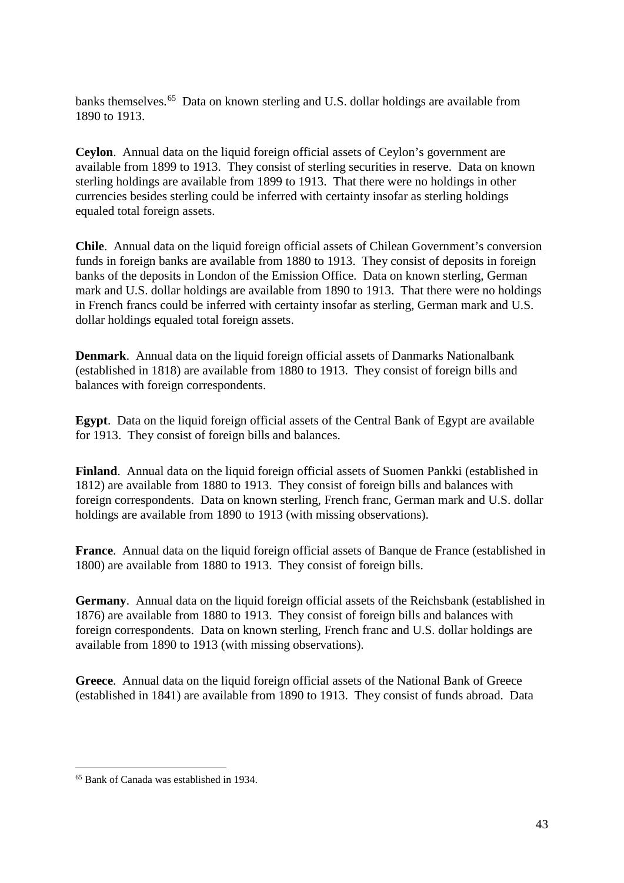banks themselves.<sup>[65](#page-43-0)</sup> Data on known sterling and U.S. dollar holdings are available from 1890 to 1913.

**Ceylon**. Annual data on the liquid foreign official assets of Ceylon's government are available from 1899 to 1913. They consist of sterling securities in reserve. Data on known sterling holdings are available from 1899 to 1913. That there were no holdings in other currencies besides sterling could be inferred with certainty insofar as sterling holdings equaled total foreign assets.

**Chile**. Annual data on the liquid foreign official assets of Chilean Government's conversion funds in foreign banks are available from 1880 to 1913. They consist of deposits in foreign banks of the deposits in London of the Emission Office. Data on known sterling, German mark and U.S. dollar holdings are available from 1890 to 1913. That there were no holdings in French francs could be inferred with certainty insofar as sterling, German mark and U.S. dollar holdings equaled total foreign assets.

**Denmark.** Annual data on the liquid foreign official assets of Danmarks Nationalbank (established in 1818) are available from 1880 to 1913. They consist of foreign bills and balances with foreign correspondents.

**Egypt**. Data on the liquid foreign official assets of the Central Bank of Egypt are available for 1913. They consist of foreign bills and balances.

**Finland**. Annual data on the liquid foreign official assets of Suomen Pankki (established in 1812) are available from 1880 to 1913. They consist of foreign bills and balances with foreign correspondents. Data on known sterling, French franc, German mark and U.S. dollar holdings are available from 1890 to 1913 (with missing observations).

**France**. Annual data on the liquid foreign official assets of Banque de France (established in 1800) are available from 1880 to 1913. They consist of foreign bills.

**Germany**. Annual data on the liquid foreign official assets of the Reichsbank (established in 1876) are available from 1880 to 1913. They consist of foreign bills and balances with foreign correspondents. Data on known sterling, French franc and U.S. dollar holdings are available from 1890 to 1913 (with missing observations).

**Greece**. Annual data on the liquid foreign official assets of the National Bank of Greece (established in 1841) are available from 1890 to 1913. They consist of funds abroad. Data

<span id="page-43-0"></span><sup>65</sup> Bank of Canada was established in 1934.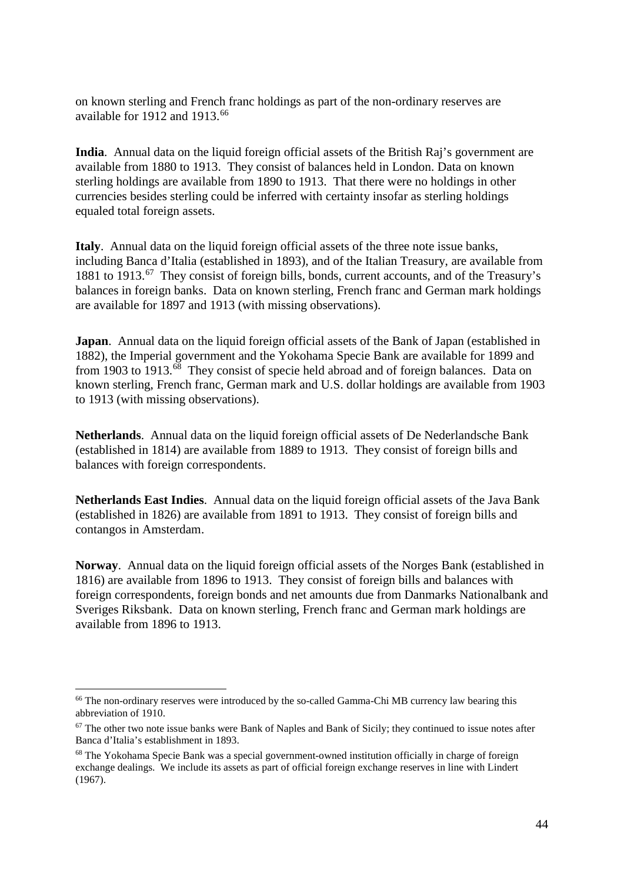on known sterling and French franc holdings as part of the non-ordinary reserves are available for 1912 and 1913.[66](#page-44-0)

**India**. Annual data on the liquid foreign official assets of the British Raj's government are available from 1880 to 1913. They consist of balances held in London. Data on known sterling holdings are available from 1890 to 1913. That there were no holdings in other currencies besides sterling could be inferred with certainty insofar as sterling holdings equaled total foreign assets.

**Italy**. Annual data on the liquid foreign official assets of the three note issue banks, including Banca d'Italia (established in 1893), and of the Italian Treasury, are available from 1881 to 1913.[67](#page-44-1) They consist of foreign bills, bonds, current accounts, and of the Treasury's balances in foreign banks. Data on known sterling, French franc and German mark holdings are available for 1897 and 1913 (with missing observations).

**Japan**. Annual data on the liquid foreign official assets of the Bank of Japan (established in 1882), the Imperial government and the Yokohama Specie Bank are available for 1899 and from 1903 to 1913.[68](#page-44-2) They consist of specie held abroad and of foreign balances. Data on known sterling, French franc, German mark and U.S. dollar holdings are available from 1903 to 1913 (with missing observations).

**Netherlands**. Annual data on the liquid foreign official assets of De Nederlandsche Bank (established in 1814) are available from 1889 to 1913. They consist of foreign bills and balances with foreign correspondents.

**Netherlands East Indies**. Annual data on the liquid foreign official assets of the Java Bank (established in 1826) are available from 1891 to 1913. They consist of foreign bills and contangos in Amsterdam.

**Norway**. Annual data on the liquid foreign official assets of the Norges Bank (established in 1816) are available from 1896 to 1913. They consist of foreign bills and balances with foreign correspondents, foreign bonds and net amounts due from Danmarks Nationalbank and Sveriges Riksbank. Data on known sterling, French franc and German mark holdings are available from 1896 to 1913.

<span id="page-44-0"></span><sup>&</sup>lt;sup>66</sup> The non-ordinary reserves were introduced by the so-called Gamma-Chi MB currency law bearing this abbreviation of 1910.

<span id="page-44-1"></span><sup>&</sup>lt;sup>67</sup> The other two note issue banks were Bank of Naples and Bank of Sicily; they continued to issue notes after Banca d'Italia's establishment in 1893.

<span id="page-44-2"></span><sup>&</sup>lt;sup>68</sup> The Yokohama Specie Bank was a special government-owned institution officially in charge of foreign exchange dealings. We include its assets as part of official foreign exchange reserves in line with Lindert (1967).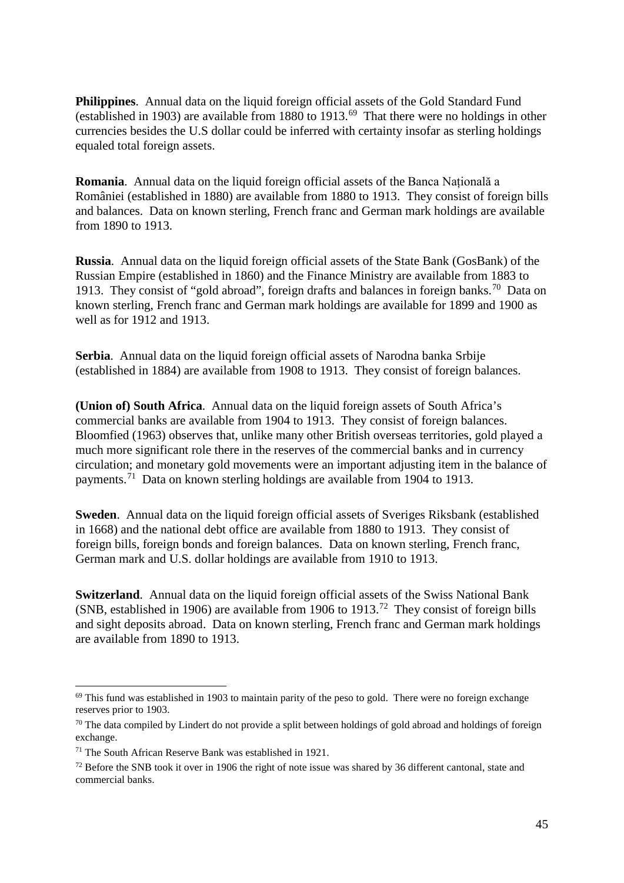**Philippines**. Annual data on the liquid foreign official assets of the Gold Standard Fund (established in 1903) are available from 1880 to 1913.[69](#page-45-0) That there were no holdings in other currencies besides the U.S dollar could be inferred with certainty insofar as sterling holdings equaled total foreign assets.

**Romania**. Annual data on the liquid foreign official assets of the Banca Națională a României (established in 1880) are available from 1880 to 1913. They consist of foreign bills and balances. Data on known sterling, French franc and German mark holdings are available from 1890 to 1913.

**Russia**. Annual data on the liquid foreign official assets of the State Bank (GosBank) of the Russian Empire (established in 1860) and the Finance Ministry are available from 1883 to 1913. They consist of "gold abroad", foreign drafts and balances in foreign banks.<sup>70</sup> Data on known sterling, French franc and German mark holdings are available for 1899 and 1900 as well as for 1912 and 1913.

**Serbia**. Annual data on the liquid foreign official assets of Narodna banka Srbije (established in 1884) are available from 1908 to 1913. They consist of foreign balances.

**(Union of) South Africa**. Annual data on the liquid foreign assets of South Africa's commercial banks are available from 1904 to 1913. They consist of foreign balances. Bloomfied (1963) observes that, unlike many other British overseas territories, gold played a much more significant role there in the reserves of the commercial banks and in currency circulation; and monetary gold movements were an important adjusting item in the balance of payments.[71](#page-45-2) Data on known sterling holdings are available from 1904 to 1913.

**Sweden**. Annual data on the liquid foreign official assets of Sveriges Riksbank (established in 1668) and the national debt office are available from 1880 to 1913. They consist of foreign bills, foreign bonds and foreign balances. Data on known sterling, French franc, German mark and U.S. dollar holdings are available from 1910 to 1913.

**Switzerland**. Annual data on the liquid foreign official assets of the Swiss National Bank (SNB, established in 1906) are available from 1906 to 1913.<sup>[72](#page-45-3)</sup> They consist of foreign bills and sight deposits abroad. Data on known sterling, French franc and German mark holdings are available from 1890 to 1913.

<span id="page-45-0"></span> $69$  This fund was established in 1903 to maintain parity of the peso to gold. There were no foreign exchange reserves prior to 1903.

<span id="page-45-1"></span><sup>&</sup>lt;sup>70</sup> The data compiled by Lindert do not provide a split between holdings of gold abroad and holdings of foreign exchange.

<span id="page-45-2"></span><sup>71</sup> The South African Reserve Bank was established in 1921.

<span id="page-45-3"></span><sup>&</sup>lt;sup>72</sup> Before the SNB took it over in 1906 the right of note issue was shared by 36 different cantonal, state and commercial banks.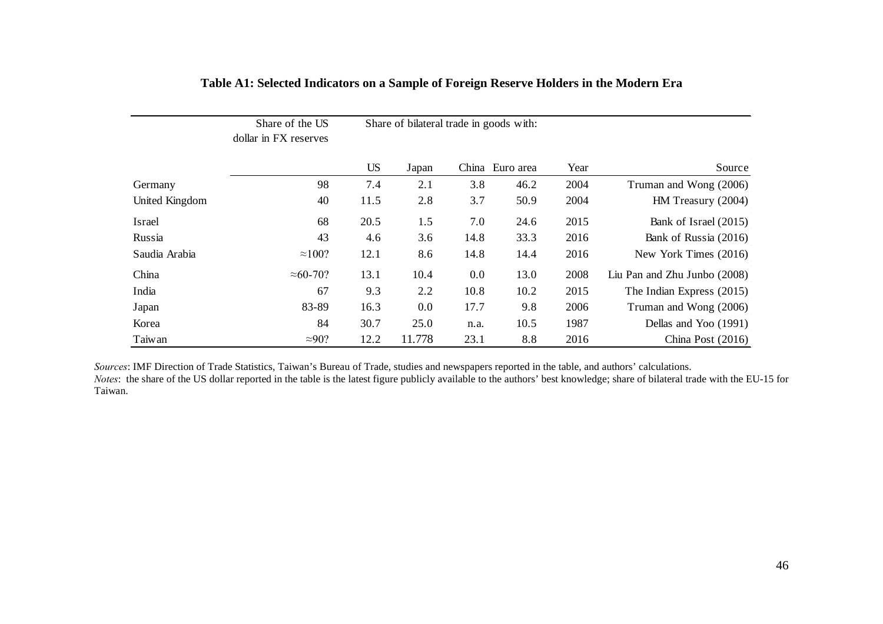|                | Share of the US<br>dollar in FX reserves |           | Share of bilateral trade in goods with: |      |                 |      |                              |
|----------------|------------------------------------------|-----------|-----------------------------------------|------|-----------------|------|------------------------------|
|                |                                          | <b>US</b> | Japan                                   |      | China Euro area | Year | Source                       |
| Germany        | 98                                       | 7.4       | 2.1                                     | 3.8  | 46.2            | 2004 | Truman and Wong (2006)       |
| United Kingdom | 40                                       | 11.5      | 2.8                                     | 3.7  | 50.9            | 2004 | HM Treasury (2004)           |
| Israel         | 68                                       | 20.5      | 1.5                                     | 7.0  | 24.6            | 2015 | Bank of Israel (2015)        |
| Russia         | 43                                       | 4.6       | 3.6                                     | 14.8 | 33.3            | 2016 | Bank of Russia (2016)        |
| Saudia Arabia  | $\approx$ 100?                           | 12.1      | 8.6                                     | 14.8 | 14.4            | 2016 | New York Times (2016)        |
| China          | $\approx 60-70$ ?                        | 13.1      | 10.4                                    | 0.0  | 13.0            | 2008 | Liu Pan and Zhu Junbo (2008) |
| India          | 67                                       | 9.3       | 2.2                                     | 10.8 | 10.2            | 2015 | The Indian Express (2015)    |
| Japan          | 83-89                                    | 16.3      | 0.0                                     | 17.7 | 9.8             | 2006 | Truman and Wong (2006)       |
| Korea          | 84                                       | 30.7      | 25.0                                    | n.a. | 10.5            | 1987 | Dellas and Yoo (1991)        |
| Taiwan         | $\approx 90$ ?                           | 12.2      | 11.778                                  | 23.1 | 8.8             | 2016 | China Post $(2016)$          |

# **Table A1: Selected Indicators on a Sample of Foreign Reserve Holders in the Modern Era**

*Sources*: IMF Direction of Trade Statistics, Taiwan's Bureau of Trade, studies and newspapers reported in the table, and authors' calculations. *Notes*: the share of the US dollar reported in the table is the latest figure publicly available to the authors' best knowledge; share of bilateral trade with the EU-15 for Taiwan.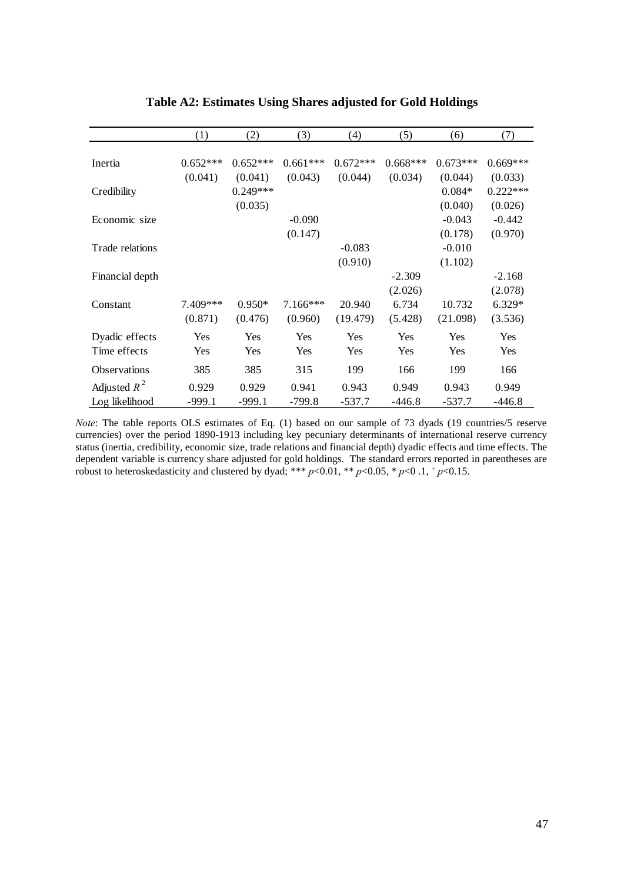|                     | (1)        | (2)        | (3)        | (4)        | (5)        | (6)        | (7)        |
|---------------------|------------|------------|------------|------------|------------|------------|------------|
|                     |            |            |            |            |            |            |            |
| Inertia             | $0.652***$ | $0.652***$ | $0.661***$ | $0.672***$ | $0.668***$ | $0.673***$ | $0.669***$ |
|                     | (0.041)    | (0.041)    | (0.043)    | (0.044)    | (0.034)    | (0.044)    | (0.033)    |
| Credibility         |            | $0.249***$ |            |            |            | $0.084*$   | $0.222***$ |
|                     |            | (0.035)    |            |            |            | (0.040)    | (0.026)    |
| Economic size       |            |            | $-0.090$   |            |            | $-0.043$   | $-0.442$   |
|                     |            |            | (0.147)    |            |            | (0.178)    | (0.970)    |
| Trade relations     |            |            |            | $-0.083$   |            | $-0.010$   |            |
|                     |            |            |            | (0.910)    |            | (1.102)    |            |
| Financial depth     |            |            |            |            | $-2.309$   |            | $-2.168$   |
|                     |            |            |            |            | (2.026)    |            | (2.078)    |
| Constant            | 7.409***   | $0.950*$   | $7.166***$ | 20.940     | 6.734      | 10.732     | $6.329*$   |
|                     | (0.871)    | (0.476)    | (0.960)    | (19.479)   | (5.428)    | (21.098)   | (3.536)    |
| Dyadic effects      | Yes        | Yes        | Yes        | Yes        | Yes        | Yes        | <b>Yes</b> |
| Time effects        | Yes        | Yes        | Yes        | Yes        | Yes        | Yes        | <b>Yes</b> |
| <b>Observations</b> | 385        | 385        | 315        | 199        | 166        | 199        | 166        |
| Adjusted $R^2$      | 0.929      | 0.929      | 0.941      | 0.943      | 0.949      | 0.943      | 0.949      |
| Log likelihood      | $-999.1$   | $-999.1$   | $-799.8$   | $-537.7$   | $-446.8$   | $-537.7$   | $-446.8$   |
|                     |            |            |            |            |            |            |            |

# **Table A2: Estimates Using Shares adjusted for Gold Holdings**

*Note*: The table reports OLS estimates of Eq. (1) based on our sample of 73 dyads (19 countries/5 reserve currencies) over the period 1890-1913 including key pecuniary determinants of international reserve currency status (inertia, credibility, economic size, trade relations and financial depth) dyadic effects and time effects. The dependent variable is currency share adjusted for gold holdings. The standard errors reported in parentheses are dependent variable is currency share adjusted for gold holdings. The standard errors reported in parentheses robust to heteroskedasticity and clustered by dyad; \*\*\*  $p<0.01$ , \*\*  $p<0.05$ , \*  $p<0.1$ , +  $p<0.15$ .